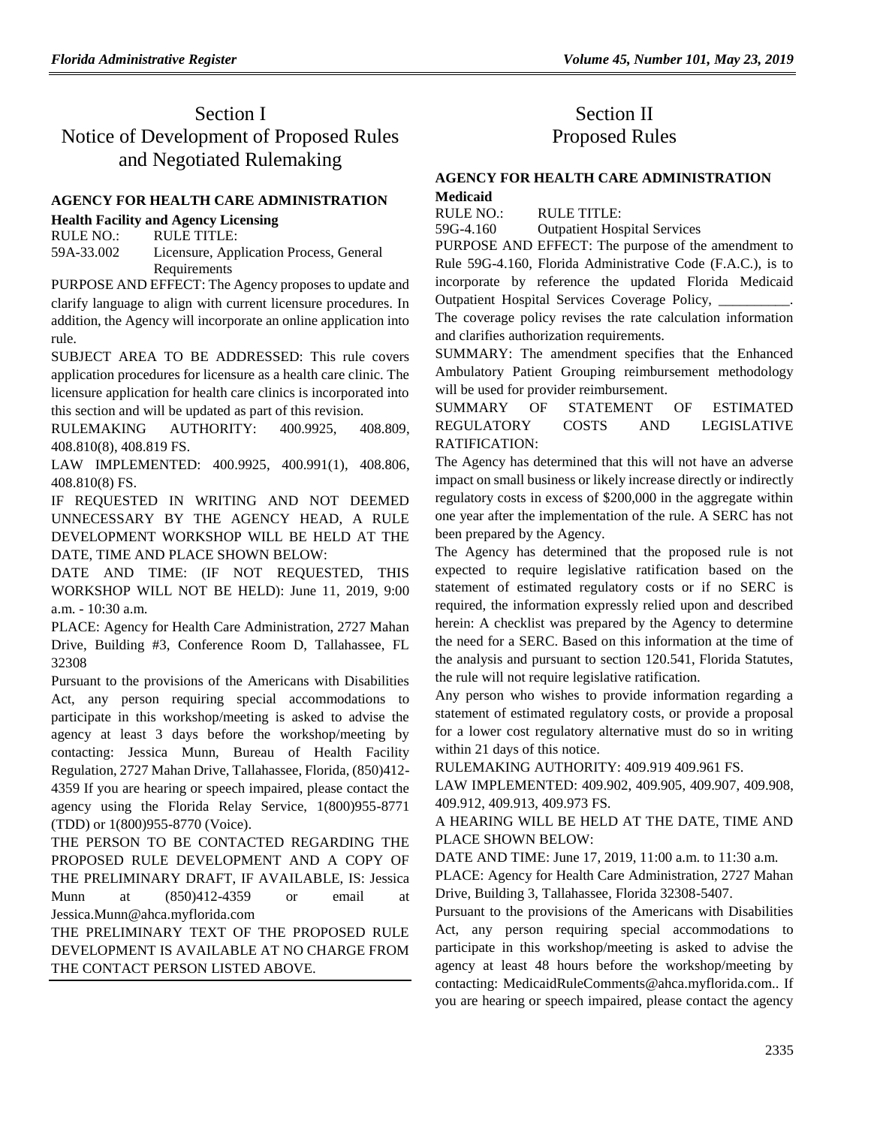# Section I Notice of Development of Proposed Rules and Negotiated Rulemaking

#### **[AGENCY FOR HEALTH CARE ADMINISTRATION](https://www.flrules.org/gateway/department.asp?id=59)**

#### **[Health Facility and Agency Licensing](https://www.flrules.org/gateway/organization.asp?id=186)**

RULE NO.: RULE TITLE: [59A-33.002](https://www.flrules.org/gateway/ruleNo.asp?id=59A-33.002) Licensure, Application Process, General Requirements

PURPOSE AND EFFECT: The Agency proposes to update and clarify language to align with current licensure procedures. In addition, the Agency will incorporate an online application into rule.

SUBJECT AREA TO BE ADDRESSED: This rule covers application procedures for licensure as a health care clinic. The licensure application for health care clinics is incorporated into this section and will be updated as part of this revision.

RULEMAKING AUTHORITY: [400.9925,](https://www.flrules.org/gateway/statute.asp?id=400.9925) [408.809,](https://www.flrules.org/gateway/statute.asp?id=%20408.809) [408.810\(8\),](https://www.flrules.org/gateway/statute.asp?id=%20408.810(8)) [408.819 FS.](https://www.flrules.org/gateway/statute.asp?id=%20408.819%20FS.)

LAW IMPLEMENTED: [400.9925,](https://www.flrules.org/gateway/statute.asp?id=400.9925) [400.991\(1\),](https://www.flrules.org/gateway/statute.asp?id=%20400.991(1)) [408.806,](https://www.flrules.org/gateway/statute.asp?id=%20408.806) [408.810\(8\) FS.](https://www.flrules.org/gateway/statute.asp?id=%20408.810(8)%20FS.)

IF REQUESTED IN WRITING AND NOT DEEMED UNNECESSARY BY THE AGENCY HEAD, A RULE DEVELOPMENT WORKSHOP WILL BE HELD AT THE DATE, TIME AND PLACE SHOWN BELOW:

DATE AND TIME: (IF NOT REQUESTED, THIS WORKSHOP WILL NOT BE HELD): June 11, 2019, 9:00 a.m. - 10:30 a.m.

PLACE: Agency for Health Care Administration, 2727 Mahan Drive, Building #3, Conference Room D, Tallahassee, FL 32308

Pursuant to the provisions of the Americans with Disabilities Act, any person requiring special accommodations to participate in this workshop/meeting is asked to advise the agency at least 3 days before the workshop/meeting by contacting: Jessica Munn, Bureau of Health Facility Regulation, 2727 Mahan Drive, Tallahassee, Florida, (850)412- 4359 If you are hearing or speech impaired, please contact the agency using the Florida Relay Service, 1(800)955-8771 (TDD) or 1(800)955-8770 (Voice).

THE PERSON TO BE CONTACTED REGARDING THE PROPOSED RULE DEVELOPMENT AND A COPY OF THE PRELIMINARY DRAFT, IF AVAILABLE, IS: Jessica Munn at (850)412-4359 or email at Jessica.Munn@ahca.myflorida.com

THE PRELIMINARY TEXT OF THE PROPOSED RULE DEVELOPMENT IS AVAILABLE AT NO CHARGE FROM THE CONTACT PERSON LISTED ABOVE.

# Section II Proposed Rules

#### **[AGENCY FOR HEALTH CARE ADMINISTRATION](https://www.flrules.org/gateway/department.asp?id=59) [Medicaid](https://www.flrules.org/gateway/organization.asp?id=192)**

RULE NO.: RULE TITLE: [59G-4.160](https://www.flrules.org/gateway/ruleNo.asp?id=59G-4.160) Outpatient Hospital Services

PURPOSE AND EFFECT: The purpose of the amendment to Rule 59G-4.160, Florida Administrative Code (F.A.C.), is to incorporate by reference the updated Florida Medicaid Outpatient Hospital Services Coverage Policy,

The coverage policy revises the rate calculation information and clarifies authorization requirements.

SUMMARY: The amendment specifies that the Enhanced Ambulatory Patient Grouping reimbursement methodology will be used for provider reimbursement.

#### SUMMARY OF STATEMENT OF ESTIMATED REGULATORY COSTS AND LEGISLATIVE RATIFICATION:

The Agency has determined that this will not have an adverse impact on small business or likely increase directly or indirectly regulatory costs in excess of \$200,000 in the aggregate within one year after the implementation of the rule. A SERC has not been prepared by the Agency.

The Agency has determined that the proposed rule is not expected to require legislative ratification based on the statement of estimated regulatory costs or if no SERC is required, the information expressly relied upon and described herein: A checklist was prepared by the Agency to determine the need for a SERC. Based on this information at the time of the analysis and pursuant to section 120.541, Florida Statutes, the rule will not require legislative ratification.

Any person who wishes to provide information regarding a statement of estimated regulatory costs, or provide a proposal for a lower cost regulatory alternative must do so in writing within 21 days of this notice.

RULEMAKING AUTHORITY: [409.919 409.961 FS.](https://www.flrules.org/gateway/statute.asp?id=409.919%20409.961%20FS.)

LAW IMPLEMENTED: [409.902,](https://www.flrules.org/gateway/statute.asp?id=409.902) [409.905,](https://www.flrules.org/gateway/statute.asp?id=%20409.905) [409.907,](https://www.flrules.org/gateway/statute.asp?id=%20409.907) [409.908,](https://www.flrules.org/gateway/statute.asp?id=%20409.908) [409.912,](https://www.flrules.org/gateway/statute.asp?id=%20409.912) [409.913,](https://www.flrules.org/gateway/statute.asp?id=%20409.913) [409.973 FS.](https://www.flrules.org/gateway/statute.asp?id=%20409.973%20FS.)

#### A HEARING WILL BE HELD AT THE DATE, TIME AND PLACE SHOWN BELOW:

DATE AND TIME: June 17, 2019, 11:00 a.m. to 11:30 a.m.

PLACE: Agency for Health Care Administration, 2727 Mahan Drive, Building 3, Tallahassee, Florida 32308-5407.

Pursuant to the provisions of the Americans with Disabilities Act, any person requiring special accommodations to participate in this workshop/meeting is asked to advise the agency at least 48 hours before the workshop/meeting by contacting: MedicaidRuleComments@ahca.myflorida.com.. If you are hearing or speech impaired, please contact the agency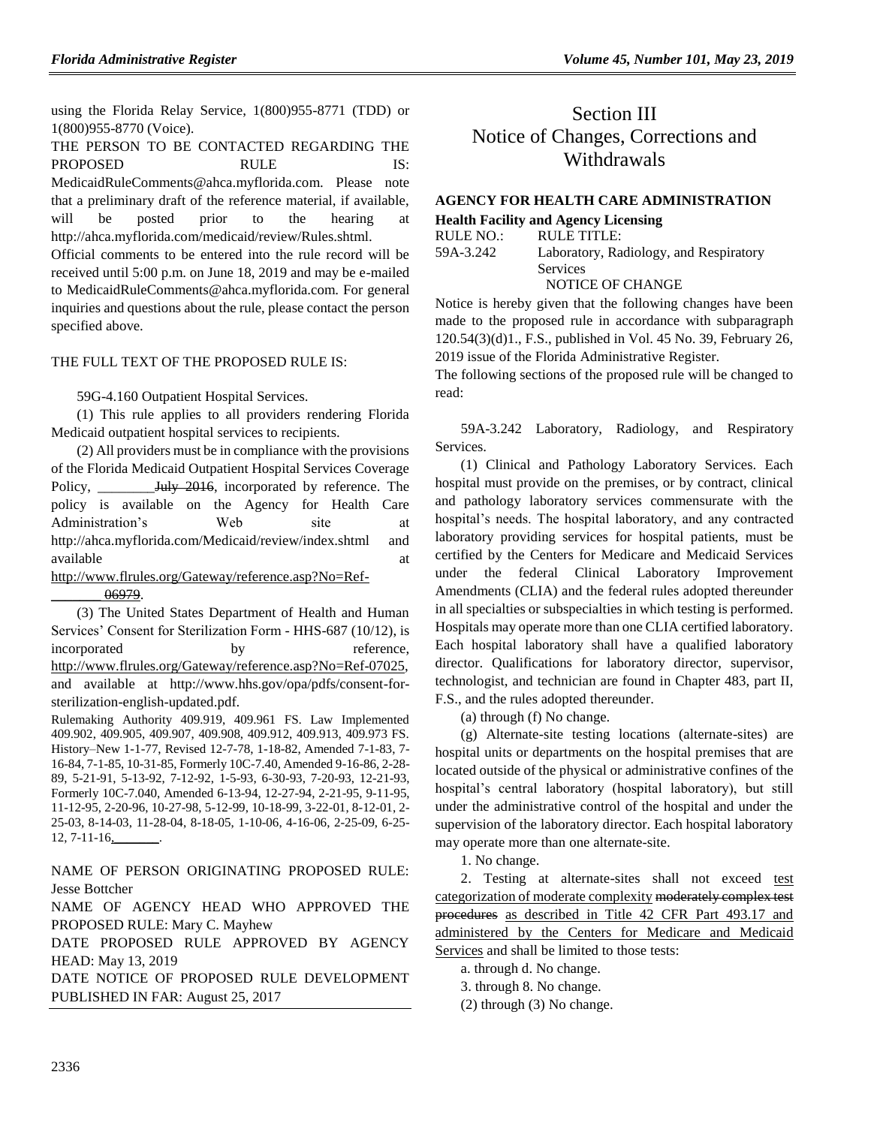using the Florida Relay Service, 1(800)955-8771 (TDD) or 1(800)955-8770 (Voice).

THE PERSON TO BE CONTACTED REGARDING THE PROPOSED RULE IS: MedicaidRuleComments@ahca.myflorida.com. Please note that a preliminary draft of the reference material, if available, will be posted prior to the hearing at http://ahca.myflorida.com/medicaid/review/Rules.shtml.

Official comments to be entered into the rule record will be received until 5:00 p.m. on June 18, 2019 and may be e-mailed to MedicaidRuleComments@ahca.myflorida.com. For general inquiries and questions about the rule, please contact the person specified above.

#### THE FULL TEXT OF THE PROPOSED RULE IS:

59G-4.160 Outpatient Hospital Services.

(1) This rule applies to all providers rendering Florida Medicaid outpatient hospital services to recipients.

(2) All providers must be in compliance with the provisions of the Florida Medicaid Outpatient Hospital Services Coverage Policy, \_\_\_\_\_\_\_\_\_\_July 2016, incorporated by reference. The policy is available on the Agency for Health Care Administration's Web site at http://ahca.myflorida.com/Medicaid/review/index.shtml and available at a structure at a structure at a structure at a structure at a structure at a structure at a structure at a structure at a structure at a structure at a structure at a structure at  $\alpha$ 

[http://www.flrules.org/Gateway/reference.asp?No=Ref-](http://www.flrules.org/Gateway/reference.asp?No=Ref-_______%2006979)

[\\_\\_\\_\\_\\_\\_\\_ 06979.](http://www.flrules.org/Gateway/reference.asp?No=Ref-_______%2006979)

(3) The United States Department of Health and Human Services' Consent for Sterilization Form - HHS-687 (10/12), is incorporated by reference, [http://www.flrules.org/Gateway/reference.asp?No=Ref-07025,](http://www.flrules.org/Gateway/reference.asp?No=Ref-07025) and available at http://www.hhs.gov/opa/pdfs/consent-forsterilization-english-updated.pdf.

Rulemaking Authority 409.919, 409.961 FS. Law Implemented 409.902, 409.905, 409.907, 409.908, 409.912, 409.913, 409.973 FS. History–New 1-1-77, Revised 12-7-78, 1-18-82, Amended 7-1-83, 7- 16-84, 7-1-85, 10-31-85, Formerly 10C-7.40, Amended 9-16-86, 2-28- 89, 5-21-91, 5-13-92, 7-12-92, 1-5-93, 6-30-93, 7-20-93, 12-21-93, Formerly 10C-7.040, Amended 6-13-94, 12-27-94, 2-21-95, 9-11-95, 11-12-95, 2-20-96, 10-27-98, 5-12-99, 10-18-99, 3-22-01, 8-12-01, 2- 25-03, 8-14-03, 11-28-04, 8-18-05, 1-10-06, 4-16-06, 2-25-09, 6-25- 12, 7-11-16,\_\_\_\_\_\_\_.

NAME OF PERSON ORIGINATING PROPOSED RULE: Jesse Bottcher

NAME OF AGENCY HEAD WHO APPROVED THE PROPOSED RULE: Mary C. Mayhew

DATE PROPOSED RULE APPROVED BY AGENCY HEAD: May 13, 2019

DATE NOTICE OF PROPOSED RULE DEVELOPMENT PUBLISHED IN FAR: August 25, 2017

# Section III Notice of Changes, Corrections and Withdrawals

### **[AGENCY FOR HEALTH CARE ADMINISTRATION](https://www.flrules.org/gateway/department.asp?id=59)**

**[Health Facility and Agency Licensing](https://www.flrules.org/gateway/organization.asp?id=186)**

| RULE NO.: | RULE TITLE:                            |
|-----------|----------------------------------------|
| 59A-3.242 | Laboratory, Radiology, and Respiratory |
|           | Services                               |
|           | NOTICE OF CHANGE                       |

Notice is hereby given that the following changes have been made to the proposed rule in accordance with subparagraph 120.54(3)(d)1., F.S., published in Vol. 45 No. 39, February 26, 2019 issue of the Florida Administrative Register.

The following sections of the proposed rule will be changed to read:

59A-3.242 Laboratory, Radiology, and Respiratory Services.

(1) Clinical and Pathology Laboratory Services. Each hospital must provide on the premises, or by contract, clinical and pathology laboratory services commensurate with the hospital's needs. The hospital laboratory, and any contracted laboratory providing services for hospital patients, must be certified by the Centers for Medicare and Medicaid Services under the federal Clinical Laboratory Improvement Amendments (CLIA) and the federal rules adopted thereunder in all specialties or subspecialties in which testing is performed. Hospitals may operate more than one CLIA certified laboratory. Each hospital laboratory shall have a qualified laboratory director. Qualifications for laboratory director, supervisor, technologist, and technician are found in Chapter 483, part II, F.S., and the rules adopted thereunder.

(a) through (f) No change.

(g) Alternate-site testing locations (alternate-sites) are hospital units or departments on the hospital premises that are located outside of the physical or administrative confines of the hospital's central laboratory (hospital laboratory), but still under the administrative control of the hospital and under the supervision of the laboratory director. Each hospital laboratory may operate more than one alternate-site.

1. No change.

2. Testing at alternate-sites shall not exceed test categorization of moderate complexity moderately complex test procedures as described in Title 42 CFR Part 493.17 and administered by the Centers for Medicare and Medicaid Services and shall be limited to those tests:

a. through d. No change.

3. through 8. No change.

(2) through (3) No change.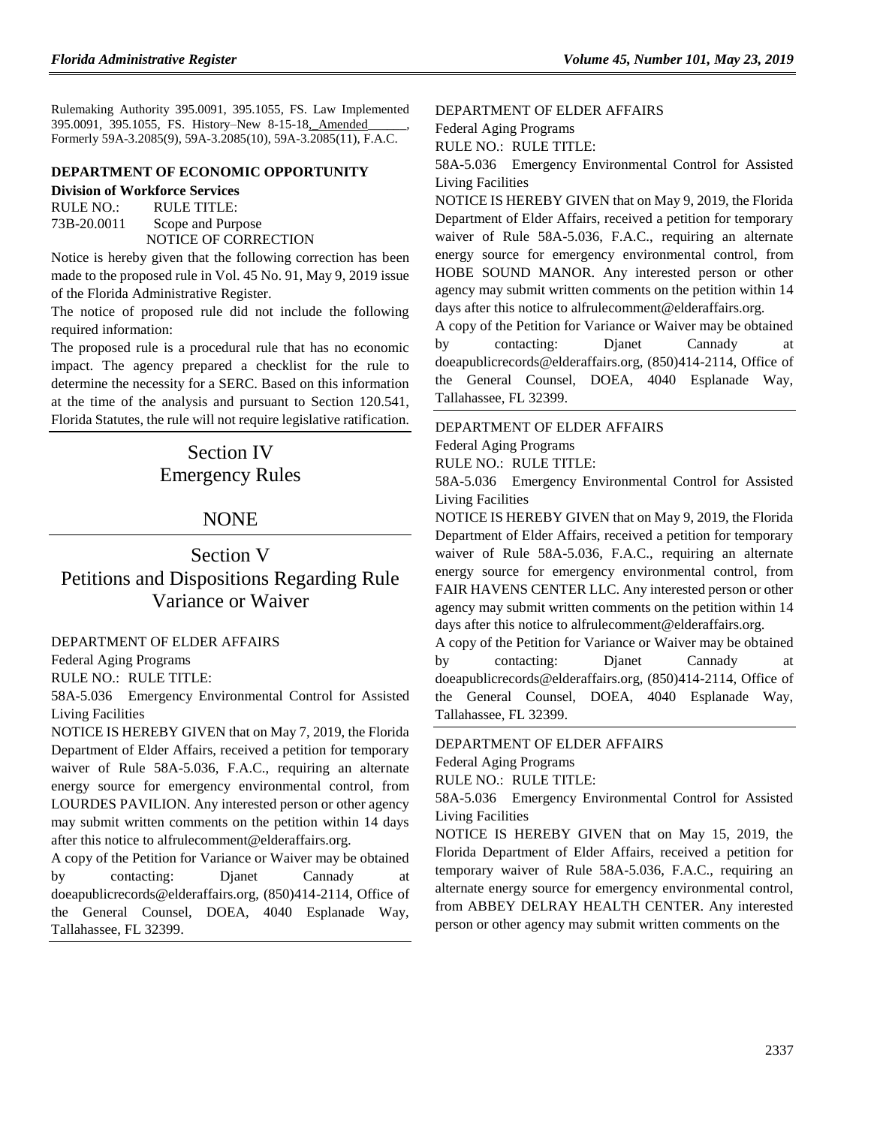Rulemaking Authority 395.0091, 395.1055, FS. Law Implemented 395.0091, 395.1055, FS. History–New 8-15-18, Amended Formerly 59A-3.2085(9), 59A-3.2085(10), 59A-3.2085(11), F.A.C.

#### **[DEPARTMENT OF ECONOMIC OPPORTUNITY](https://www.flrules.org/gateway/department.asp?id=73) [Division of Workforce Services](https://www.flrules.org/gateway/organization.asp?id=1065)**

RULE NO.: RULE TITLE:

[73B-20.0011](https://www.flrules.org/gateway/ruleNo.asp?id=73B-20.0011) Scope and Purpose NOTICE OF CORRECTION

Notice is hereby given that the following correction has been made to the proposed rule in Vol. 45 No. 91, May 9, 2019 issue of the Florida Administrative Register.

The notice of proposed rule did not include the following required information:

The proposed rule is a procedural rule that has no economic impact. The agency prepared a checklist for the rule to determine the necessity for a SERC. Based on this information at the time of the analysis and pursuant to Section 120.541, Florida Statutes, the rule will not require legislative ratification.

# Section IV Emergency Rules

## NONE

## Section V Petitions and Dispositions Regarding Rule Variance or Waiver

[DEPARTMENT OF ELDER AFFAIRS](https://www.flrules.org/gateway/department.asp?id=58)

[Federal Aging Programs](https://www.flrules.org/gateway/organization.asp?id=179)

RULE NO.: RULE TITLE:

[58A-5.036](https://www.flrules.org/gateway/ruleNo.asp?id=58A-5.036) Emergency Environmental Control for Assisted Living Facilities

NOTICE IS HEREBY GIVEN that on May 7, 2019, the Florida Department of Elder Affairs, received a petition for temporary waiver of Rule 58A-5.036, F.A.C., requiring an alternate energy source for emergency environmental control, from LOURDES PAVILION. Any interested person or other agency may submit written comments on the petition within 14 days after this notice to alfrulecomment@elderaffairs.org.

A copy of the Petition for Variance or Waiver may be obtained by contacting: Djanet Cannady at doeapublicrecords@elderaffairs.org, (850)414-2114, Office of the General Counsel, DOEA, 4040 Esplanade Way, Tallahassee, FL 32399.

[DEPARTMENT OF ELDER AFFAIRS](https://www.flrules.org/gateway/department.asp?id=58)

[Federal Aging Programs](https://www.flrules.org/gateway/organization.asp?id=179)

RULE NO.: RULE TITLE:

[58A-5.036](https://www.flrules.org/gateway/ruleNo.asp?id=58A-5.036) Emergency Environmental Control for Assisted Living Facilities

NOTICE IS HEREBY GIVEN that on May 9, 2019, the Florida Department of Elder Affairs, received a petition for temporary waiver of Rule 58A-5.036, F.A.C., requiring an alternate energy source for emergency environmental control, from HOBE SOUND MANOR. Any interested person or other agency may submit written comments on the petition within 14 days after this notice to alfrulecomment@elderaffairs.org.

A copy of the Petition for Variance or Waiver may be obtained by contacting: Djanet Cannady at doeapublicrecords@elderaffairs.org, (850)414-2114, Office of the General Counsel, DOEA, 4040 Esplanade Way, Tallahassee, FL 32399.

[DEPARTMENT OF ELDER AFFAIRS](https://www.flrules.org/gateway/department.asp?id=58)

[Federal Aging Programs](https://www.flrules.org/gateway/organization.asp?id=179)

RULE NO.: RULE TITLE:

[58A-5.036](https://www.flrules.org/gateway/ruleNo.asp?id=58A-5.036) Emergency Environmental Control for Assisted Living Facilities

NOTICE IS HEREBY GIVEN that on May 9, 2019, the Florida Department of Elder Affairs, received a petition for temporary waiver of Rule 58A-5.036, F.A.C., requiring an alternate energy source for emergency environmental control, from FAIR HAVENS CENTER LLC. Any interested person or other agency may submit written comments on the petition within 14 days after this notice to alfrulecomment@elderaffairs.org.

A copy of the Petition for Variance or Waiver may be obtained by contacting: Djanet Cannady at doeapublicrecords@elderaffairs.org, (850)414-2114, Office of the General Counsel, DOEA, 4040 Esplanade Way, Tallahassee, FL 32399.

[DEPARTMENT OF ELDER AFFAIRS](https://www.flrules.org/gateway/department.asp?id=58)

[Federal Aging Programs](https://www.flrules.org/gateway/organization.asp?id=179)

RULE NO.: RULE TITLE:

[58A-5.036](https://www.flrules.org/gateway/ruleNo.asp?id=58A-5.036) Emergency Environmental Control for Assisted Living Facilities

NOTICE IS HEREBY GIVEN that on May 15, 2019, the Florida Department of Elder Affairs, received a petition for temporary waiver of Rule 58A-5.036, F.A.C., requiring an alternate energy source for emergency environmental control, from ABBEY DELRAY HEALTH CENTER. Any interested person or other agency may submit written comments on the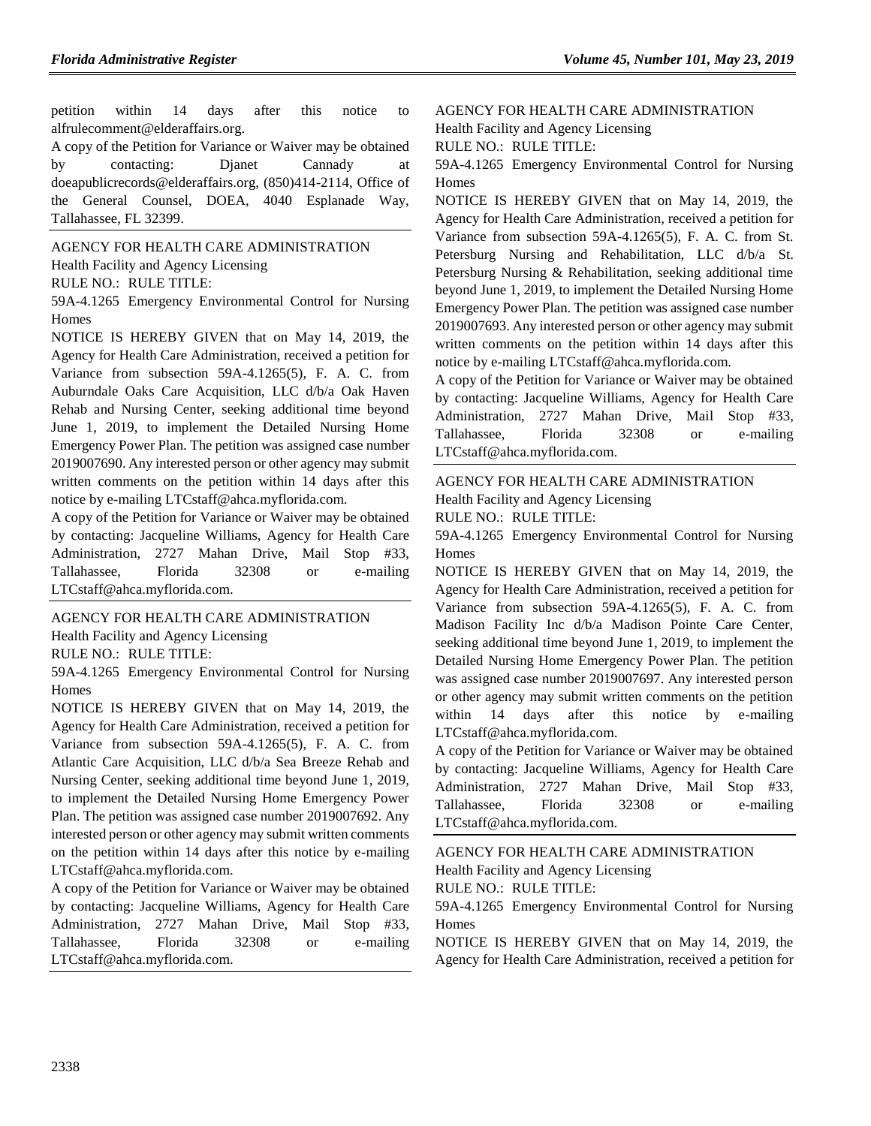petition within 14 days after this notice to alfrulecomment@elderaffairs.org.

A copy of the Petition for Variance or Waiver may be obtained by contacting: Djanet Cannady at doeapublicrecords@elderaffairs.org, (850)414-2114, Office of the General Counsel, DOEA, 4040 Esplanade Way, Tallahassee, FL 32399.

[AGENCY FOR HEALTH CARE ADMINISTRATION](https://www.flrules.org/gateway/department.asp?id=59) [Health Facility and Agency Licensing](https://www.flrules.org/gateway/organization.asp?id=186)

RULE NO.: RULE TITLE:

[59A-4.1265](https://www.flrules.org/gateway/ruleNo.asp?id=59A-4.1265) Emergency Environmental Control for Nursing Homes

NOTICE IS HEREBY GIVEN that on May 14, 2019, the Agency for Health Care Administration, received a petition for Variance from subsection 59A-4.1265(5), F. A. C. from Auburndale Oaks Care Acquisition, LLC d/b/a Oak Haven Rehab and Nursing Center, seeking additional time beyond June 1, 2019, to implement the Detailed Nursing Home Emergency Power Plan. The petition was assigned case number 2019007690. Any interested person or other agency may submit written comments on the petition within 14 days after this notice by e-mailing LTCstaff@ahca.myflorida.com.

A copy of the Petition for Variance or Waiver may be obtained by contacting: Jacqueline Williams, Agency for Health Care Administration, 2727 Mahan Drive, Mail Stop #33, Tallahassee, Florida 32308 or e-mailing LTCstaff@ahca.myflorida.com.

[AGENCY FOR HEALTH CARE ADMINISTRATION](https://www.flrules.org/gateway/department.asp?id=59) [Health Facility and Agency Licensing](https://www.flrules.org/gateway/organization.asp?id=186)

RULE NO.: RULE TITLE:

[59A-4.1265](https://www.flrules.org/gateway/ruleNo.asp?id=59A-4.1265) Emergency Environmental Control for Nursing Homes

NOTICE IS HEREBY GIVEN that on May 14, 2019, the Agency for Health Care Administration, received a petition for Variance from subsection 59A-4.1265(5), F. A. C. from Atlantic Care Acquisition, LLC d/b/a Sea Breeze Rehab and Nursing Center, seeking additional time beyond June 1, 2019, to implement the Detailed Nursing Home Emergency Power Plan. The petition was assigned case number 2019007692. Any interested person or other agency may submit written comments on the petition within 14 days after this notice by e-mailing LTCstaff@ahca.myflorida.com.

A copy of the Petition for Variance or Waiver may be obtained by contacting: Jacqueline Williams, Agency for Health Care Administration, 2727 Mahan Drive, Mail Stop #33, Tallahassee, Florida 32308 or e-mailing LTCstaff@ahca.myflorida.com.

[AGENCY FOR HEALTH CARE ADMINISTRATION](https://www.flrules.org/gateway/department.asp?id=59) [Health Facility and Agency Licensing](https://www.flrules.org/gateway/organization.asp?id=186) RULE NO.: RULE TITLE:

[59A-4.1265](https://www.flrules.org/gateway/ruleNo.asp?id=59A-4.1265) Emergency Environmental Control for Nursing Homes

NOTICE IS HEREBY GIVEN that on May 14, 2019, the Agency for Health Care Administration, received a petition for Variance from subsection 59A-4.1265(5), F. A. C. from St. Petersburg Nursing and Rehabilitation, LLC d/b/a St. Petersburg Nursing & Rehabilitation, seeking additional time beyond June 1, 2019, to implement the Detailed Nursing Home Emergency Power Plan. The petition was assigned case number 2019007693. Any interested person or other agency may submit written comments on the petition within 14 days after this notice by e-mailing LTCstaff@ahca.myflorida.com.

A copy of the Petition for Variance or Waiver may be obtained by contacting: Jacqueline Williams, Agency for Health Care Administration, 2727 Mahan Drive, Mail Stop #33, Tallahassee, Florida 32308 or e-mailing LTCstaff@ahca.myflorida.com.

#### [AGENCY FOR HEALTH CARE ADMINISTRATION](https://www.flrules.org/gateway/department.asp?id=59) [Health Facility and Agency Licensing](https://www.flrules.org/gateway/organization.asp?id=186)

RULE NO.: RULE TITLE:

[59A-4.1265](https://www.flrules.org/gateway/ruleNo.asp?id=59A-4.1265) Emergency Environmental Control for Nursing Homes

NOTICE IS HEREBY GIVEN that on May 14, 2019, the Agency for Health Care Administration, received a petition for Variance from subsection 59A-4.1265(5), F. A. C. from Madison Facility Inc d/b/a Madison Pointe Care Center, seeking additional time beyond June 1, 2019, to implement the Detailed Nursing Home Emergency Power Plan. The petition was assigned case number 2019007697. Any interested person or other agency may submit written comments on the petition within 14 days after this notice by e-mailing LTCstaff@ahca.myflorida.com.

A copy of the Petition for Variance or Waiver may be obtained by contacting: Jacqueline Williams, Agency for Health Care Administration, 2727 Mahan Drive, Mail Stop #33, Tallahassee, Florida 32308 or e-mailing LTCstaff@ahca.myflorida.com.

[AGENCY FOR HEALTH CARE ADMINISTRATION](https://www.flrules.org/gateway/department.asp?id=59) [Health Facility and Agency Licensing](https://www.flrules.org/gateway/organization.asp?id=186) RULE NO.: RULE TITLE:

[59A-4.1265](https://www.flrules.org/gateway/ruleNo.asp?id=59A-4.1265) Emergency Environmental Control for Nursing Homes

NOTICE IS HEREBY GIVEN that on May 14, 2019, the Agency for Health Care Administration, received a petition for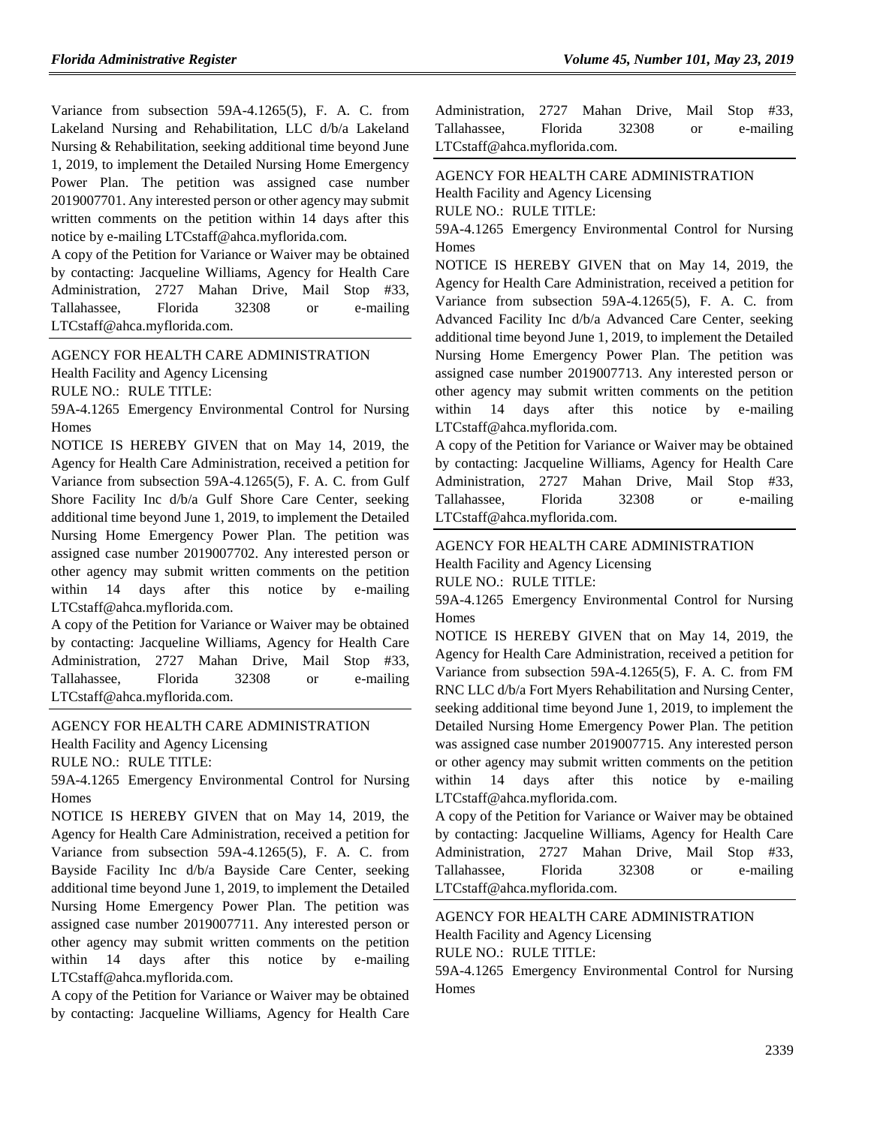Variance from subsection 59A-4.1265(5), F. A. C. from Lakeland Nursing and Rehabilitation, LLC d/b/a Lakeland Nursing & Rehabilitation, seeking additional time beyond June 1, 2019, to implement the Detailed Nursing Home Emergency Power Plan. The petition was assigned case number 2019007701. Any interested person or other agency may submit written comments on the petition within 14 days after this notice by e-mailing LTCstaff@ahca.myflorida.com.

A copy of the Petition for Variance or Waiver may be obtained by contacting: Jacqueline Williams, Agency for Health Care Administration, 2727 Mahan Drive, Mail Stop #33, Tallahassee, Florida 32308 or e-mailing LTCstaff@ahca.myflorida.com.

[AGENCY FOR HEALTH CARE ADMINISTRATION](https://www.flrules.org/gateway/department.asp?id=59) [Health Facility and Agency Licensing](https://www.flrules.org/gateway/organization.asp?id=186)

RULE NO.: RULE TITLE:

[59A-4.1265](https://www.flrules.org/gateway/ruleNo.asp?id=59A-4.1265) Emergency Environmental Control for Nursing Homes

NOTICE IS HEREBY GIVEN that on May 14, 2019, the Agency for Health Care Administration, received a petition for Variance from subsection 59A-4.1265(5), F. A. C. from Gulf Shore Facility Inc d/b/a Gulf Shore Care Center, seeking additional time beyond June 1, 2019, to implement the Detailed Nursing Home Emergency Power Plan. The petition was assigned case number 2019007702. Any interested person or other agency may submit written comments on the petition within 14 days after this notice by e-mailing LTCstaff@ahca.myflorida.com.

A copy of the Petition for Variance or Waiver may be obtained by contacting: Jacqueline Williams, Agency for Health Care Administration, 2727 Mahan Drive, Mail Stop #33, Tallahassee, Florida 32308 or e-mailing LTCstaff@ahca.myflorida.com.

## [AGENCY FOR HEALTH CARE ADMINISTRATION](https://www.flrules.org/gateway/department.asp?id=59)

[Health Facility and Agency Licensing](https://www.flrules.org/gateway/organization.asp?id=186)

RULE NO.: RULE TITLE:

[59A-4.1265](https://www.flrules.org/gateway/ruleNo.asp?id=59A-4.1265) Emergency Environmental Control for Nursing Homes

NOTICE IS HEREBY GIVEN that on May 14, 2019, the Agency for Health Care Administration, received a petition for Variance from subsection 59A-4.1265(5), F. A. C. from Bayside Facility Inc d/b/a Bayside Care Center, seeking additional time beyond June 1, 2019, to implement the Detailed Nursing Home Emergency Power Plan. The petition was assigned case number 2019007711. Any interested person or other agency may submit written comments on the petition within 14 days after this notice by e-mailing LTCstaff@ahca.myflorida.com.

A copy of the Petition for Variance or Waiver may be obtained by contacting: Jacqueline Williams, Agency for Health Care

| Administration, 2727 Mahan Drive, Mail Stop #33, |  |       |    |           |
|--------------------------------------------------|--|-------|----|-----------|
| Tallahassee. Florida                             |  | 32308 | or | e-mailing |
| LTCstaff@ahca.myflorida.com.                     |  |       |    |           |

[AGENCY FOR HEALTH CARE ADMINISTRATION](https://www.flrules.org/gateway/department.asp?id=59)

[Health Facility and Agency Licensing](https://www.flrules.org/gateway/organization.asp?id=186)

RULE NO.: RULE TITLE:

[59A-4.1265](https://www.flrules.org/gateway/ruleNo.asp?id=59A-4.1265) Emergency Environmental Control for Nursing **Homes** 

NOTICE IS HEREBY GIVEN that on May 14, 2019, the Agency for Health Care Administration, received a petition for Variance from subsection 59A-4.1265(5), F. A. C. from Advanced Facility Inc d/b/a Advanced Care Center, seeking additional time beyond June 1, 2019, to implement the Detailed Nursing Home Emergency Power Plan. The petition was assigned case number 2019007713. Any interested person or other agency may submit written comments on the petition within 14 days after this notice by e-mailing LTCstaff@ahca.myflorida.com.

A copy of the Petition for Variance or Waiver may be obtained by contacting: Jacqueline Williams, Agency for Health Care Administration, 2727 Mahan Drive, Mail Stop #33, Tallahassee, Florida 32308 or e-mailing LTCstaff@ahca.myflorida.com.

## [AGENCY FOR HEALTH CARE ADMINISTRATION](https://www.flrules.org/gateway/department.asp?id=59)

[Health Facility and Agency Licensing](https://www.flrules.org/gateway/organization.asp?id=186)

RULE NO.: RULE TITLE:

[59A-4.1265](https://www.flrules.org/gateway/ruleNo.asp?id=59A-4.1265) Emergency Environmental Control for Nursing Homes

NOTICE IS HEREBY GIVEN that on May 14, 2019, the Agency for Health Care Administration, received a petition for Variance from subsection 59A-4.1265(5), F. A. C. from FM RNC LLC d/b/a Fort Myers Rehabilitation and Nursing Center, seeking additional time beyond June 1, 2019, to implement the Detailed Nursing Home Emergency Power Plan. The petition was assigned case number 2019007715. Any interested person or other agency may submit written comments on the petition within 14 days after this notice by e-mailing LTCstaff@ahca.myflorida.com.

A copy of the Petition for Variance or Waiver may be obtained by contacting: Jacqueline Williams, Agency for Health Care Administration, 2727 Mahan Drive, Mail Stop #33, Tallahassee, Florida 32308 or e-mailing LTCstaff@ahca.myflorida.com.

[AGENCY FOR HEALTH CARE ADMINISTRATION](https://www.flrules.org/gateway/department.asp?id=59) [Health Facility and Agency Licensing](https://www.flrules.org/gateway/organization.asp?id=186) RULE NO.: RULE TITLE:

[59A-4.1265](https://www.flrules.org/gateway/ruleNo.asp?id=59A-4.1265) Emergency Environmental Control for Nursing Homes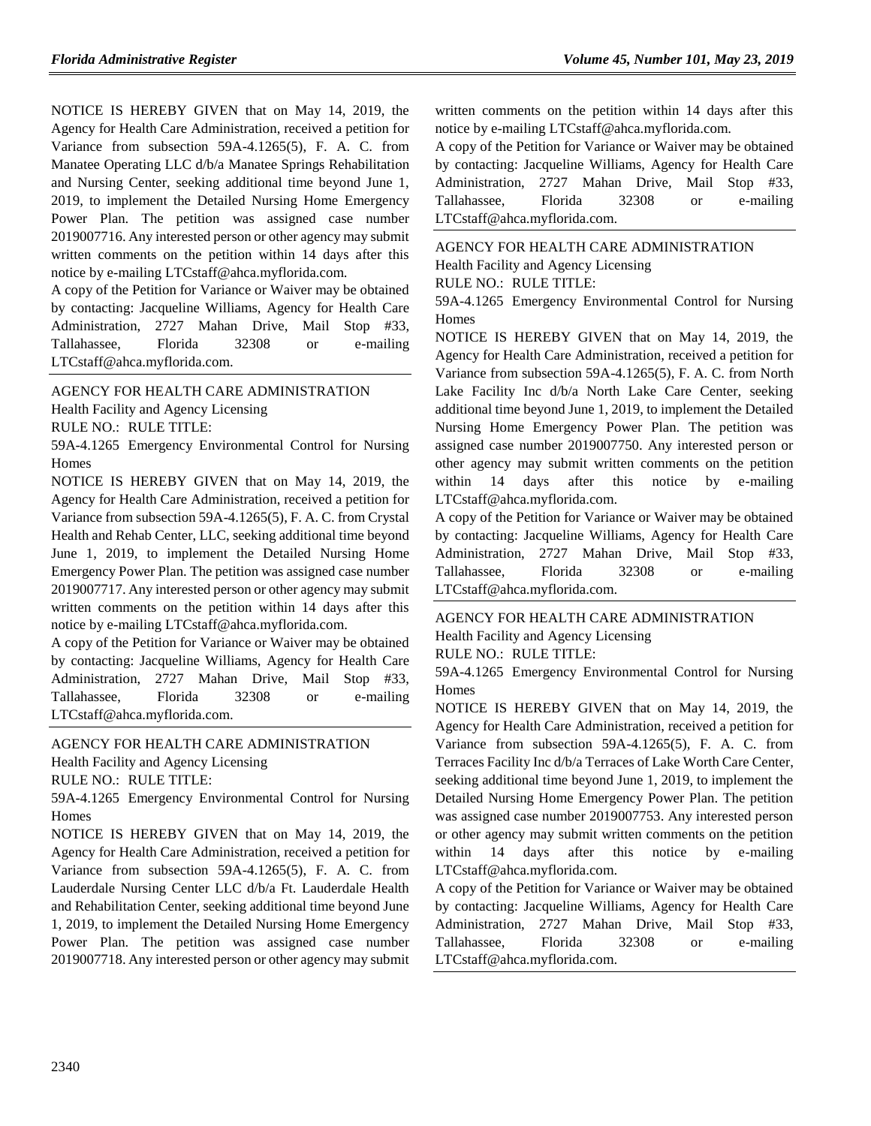NOTICE IS HEREBY GIVEN that on May 14, 2019, the Agency for Health Care Administration, received a petition for Variance from subsection 59A-4.1265(5), F. A. C. from Manatee Operating LLC d/b/a Manatee Springs Rehabilitation and Nursing Center, seeking additional time beyond June 1, 2019, to implement the Detailed Nursing Home Emergency Power Plan. The petition was assigned case number 2019007716. Any interested person or other agency may submit written comments on the petition within 14 days after this notice by e-mailing LTCstaff@ahca.myflorida.com.

A copy of the Petition for Variance or Waiver may be obtained by contacting: Jacqueline Williams, Agency for Health Care Administration, 2727 Mahan Drive, Mail Stop #33, Tallahassee, Florida 32308 or e-mailing LTCstaff@ahca.myflorida.com.

#### [AGENCY FOR HEALTH CARE ADMINISTRATION](https://www.flrules.org/gateway/department.asp?id=59)

[Health Facility and Agency Licensing](https://www.flrules.org/gateway/organization.asp?id=186)

RULE NO.: RULE TITLE:

[59A-4.1265](https://www.flrules.org/gateway/ruleNo.asp?id=59A-4.1265) Emergency Environmental Control for Nursing Homes

NOTICE IS HEREBY GIVEN that on May 14, 2019, the Agency for Health Care Administration, received a petition for Variance from subsection 59A-4.1265(5), F. A. C. from Crystal Health and Rehab Center, LLC, seeking additional time beyond June 1, 2019, to implement the Detailed Nursing Home Emergency Power Plan. The petition was assigned case number 2019007717. Any interested person or other agency may submit written comments on the petition within 14 days after this notice by e-mailing LTCstaff@ahca.myflorida.com.

A copy of the Petition for Variance or Waiver may be obtained by contacting: Jacqueline Williams, Agency for Health Care Administration, 2727 Mahan Drive, Mail Stop #33, Tallahassee, Florida 32308 or e-mailing LTCstaff@ahca.myflorida.com.

#### [AGENCY FOR HEALTH CARE ADMINISTRATION](https://www.flrules.org/gateway/department.asp?id=59)

[Health Facility and Agency Licensing](https://www.flrules.org/gateway/organization.asp?id=186)

RULE NO.: RULE TITLE:

[59A-4.1265](https://www.flrules.org/gateway/ruleNo.asp?id=59A-4.1265) Emergency Environmental Control for Nursing Homes

NOTICE IS HEREBY GIVEN that on May 14, 2019, the Agency for Health Care Administration, received a petition for Variance from subsection 59A-4.1265(5), F. A. C. from Lauderdale Nursing Center LLC d/b/a Ft. Lauderdale Health and Rehabilitation Center, seeking additional time beyond June 1, 2019, to implement the Detailed Nursing Home Emergency Power Plan. The petition was assigned case number 2019007718. Any interested person or other agency may submit

written comments on the petition within 14 days after this notice by e-mailing LTCstaff@ahca.myflorida.com.

A copy of the Petition for Variance or Waiver may be obtained by contacting: Jacqueline Williams, Agency for Health Care Administration, 2727 Mahan Drive, Mail Stop #33, Tallahassee, Florida 32308 or e-mailing LTCstaff@ahca.myflorida.com.

[AGENCY FOR HEALTH CARE ADMINISTRATION](https://www.flrules.org/gateway/department.asp?id=59) [Health Facility and Agency Licensing](https://www.flrules.org/gateway/organization.asp?id=186) RULE NO.: RULE TITLE:

[59A-4.1265](https://www.flrules.org/gateway/ruleNo.asp?id=59A-4.1265) Emergency Environmental Control for Nursing Homes

NOTICE IS HEREBY GIVEN that on May 14, 2019, the Agency for Health Care Administration, received a petition for Variance from subsection 59A-4.1265(5), F. A. C. from North Lake Facility Inc d/b/a North Lake Care Center, seeking additional time beyond June 1, 2019, to implement the Detailed Nursing Home Emergency Power Plan. The petition was assigned case number 2019007750. Any interested person or other agency may submit written comments on the petition within 14 days after this notice by e-mailing LTCstaff@ahca.myflorida.com.

A copy of the Petition for Variance or Waiver may be obtained by contacting: Jacqueline Williams, Agency for Health Care Administration, 2727 Mahan Drive, Mail Stop #33, Tallahassee, Florida 32308 or e-mailing LTCstaff@ahca.myflorida.com.

[AGENCY FOR HEALTH CARE ADMINISTRATION](https://www.flrules.org/gateway/department.asp?id=59) [Health Facility and Agency Licensing](https://www.flrules.org/gateway/organization.asp?id=186) RULE NO.: RULE TITLE:

[59A-4.1265](https://www.flrules.org/gateway/ruleNo.asp?id=59A-4.1265) Emergency Environmental Control for Nursing Homes

NOTICE IS HEREBY GIVEN that on May 14, 2019, the Agency for Health Care Administration, received a petition for Variance from subsection 59A-4.1265(5), F. A. C. from Terraces Facility Inc d/b/a Terraces of Lake Worth Care Center, seeking additional time beyond June 1, 2019, to implement the Detailed Nursing Home Emergency Power Plan. The petition was assigned case number 2019007753. Any interested person or other agency may submit written comments on the petition within 14 days after this notice by e-mailing LTCstaff@ahca.myflorida.com.

A copy of the Petition for Variance or Waiver may be obtained by contacting: Jacqueline Williams, Agency for Health Care Administration, 2727 Mahan Drive, Mail Stop #33, Tallahassee, Florida 32308 or e-mailing LTCstaff@ahca.myflorida.com.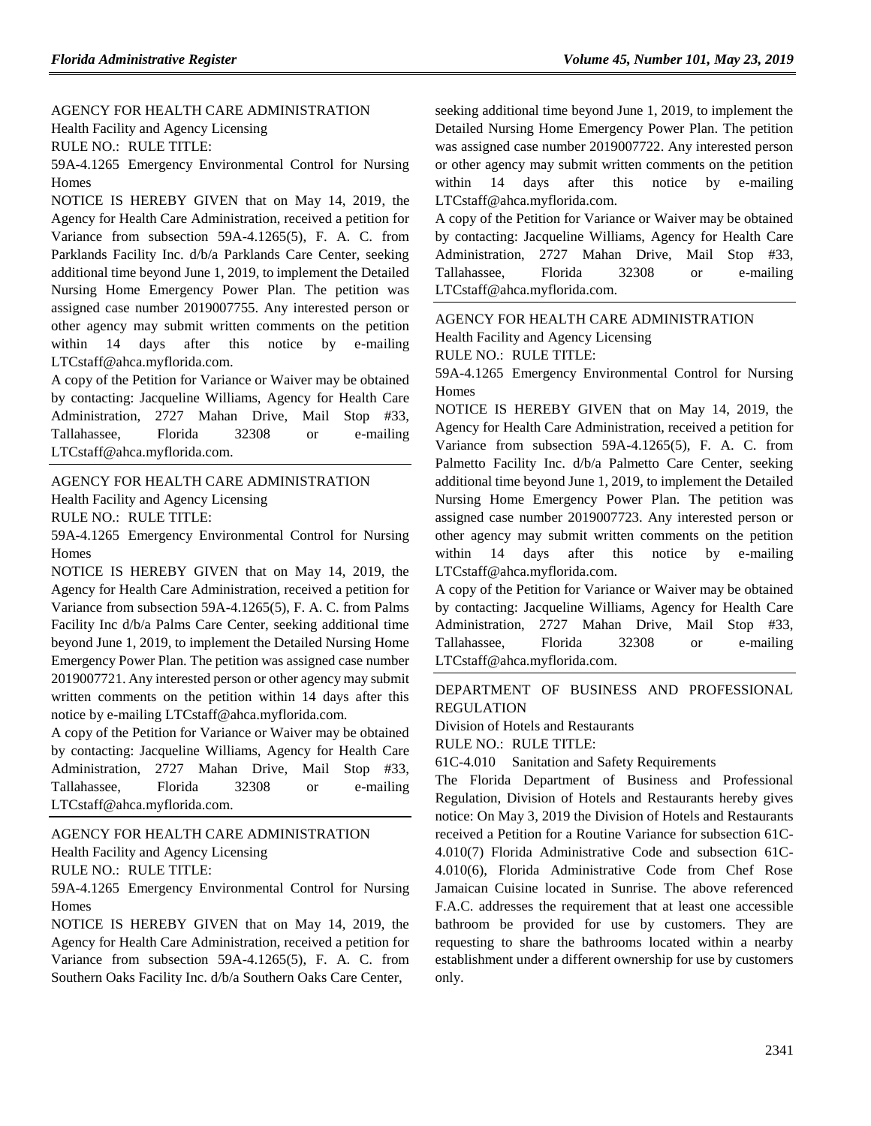[AGENCY FOR HEALTH CARE ADMINISTRATION](https://www.flrules.org/gateway/department.asp?id=59) [Health Facility and Agency Licensing](https://www.flrules.org/gateway/organization.asp?id=186)

RULE NO.: RULE TITLE:

[59A-4.1265](https://www.flrules.org/gateway/ruleNo.asp?id=59A-4.1265) Emergency Environmental Control for Nursing Homes

NOTICE IS HEREBY GIVEN that on May 14, 2019, the Agency for Health Care Administration, received a petition for Variance from subsection 59A-4.1265(5), F. A. C. from Parklands Facility Inc. d/b/a Parklands Care Center, seeking additional time beyond June 1, 2019, to implement the Detailed Nursing Home Emergency Power Plan. The petition was assigned case number 2019007755. Any interested person or other agency may submit written comments on the petition within 14 days after this notice by e-mailing LTCstaff@ahca.myflorida.com.

A copy of the Petition for Variance or Waiver may be obtained by contacting: Jacqueline Williams, Agency for Health Care Administration, 2727 Mahan Drive, Mail Stop #33, Tallahassee, Florida 32308 or e-mailing LTCstaff@ahca.myflorida.com.

#### [AGENCY FOR HEALTH CARE ADMINISTRATION](https://www.flrules.org/gateway/department.asp?id=59)

[Health Facility and Agency Licensing](https://www.flrules.org/gateway/organization.asp?id=186)

RULE NO.: RULE TITLE:

[59A-4.1265](https://www.flrules.org/gateway/ruleNo.asp?id=59A-4.1265) Emergency Environmental Control for Nursing Homes

NOTICE IS HEREBY GIVEN that on May 14, 2019, the Agency for Health Care Administration, received a petition for Variance from subsection 59A-4.1265(5), F. A. C. from Palms Facility Inc d/b/a Palms Care Center, seeking additional time beyond June 1, 2019, to implement the Detailed Nursing Home Emergency Power Plan. The petition was assigned case number 2019007721. Any interested person or other agency may submit written comments on the petition within 14 days after this notice by e-mailing LTCstaff@ahca.myflorida.com.

A copy of the Petition for Variance or Waiver may be obtained by contacting: Jacqueline Williams, Agency for Health Care Administration, 2727 Mahan Drive, Mail Stop #33, Tallahassee, Florida 32308 or e-mailing LTCstaff@ahca.myflorida.com.

#### [AGENCY FOR HEALTH CARE ADMINISTRATION](https://www.flrules.org/gateway/department.asp?id=59)

[Health Facility and Agency Licensing](https://www.flrules.org/gateway/organization.asp?id=186)

RULE NO.: RULE TITLE:

[59A-4.1265](https://www.flrules.org/gateway/ruleNo.asp?id=59A-4.1265) Emergency Environmental Control for Nursing Homes

NOTICE IS HEREBY GIVEN that on May 14, 2019, the Agency for Health Care Administration, received a petition for Variance from subsection 59A-4.1265(5), F. A. C. from Southern Oaks Facility Inc. d/b/a Southern Oaks Care Center,

seeking additional time beyond June 1, 2019, to implement the Detailed Nursing Home Emergency Power Plan. The petition was assigned case number 2019007722. Any interested person or other agency may submit written comments on the petition within 14 days after this notice by e-mailing LTCstaff@ahca.myflorida.com.

A copy of the Petition for Variance or Waiver may be obtained by contacting: Jacqueline Williams, Agency for Health Care Administration, 2727 Mahan Drive, Mail Stop #33, Tallahassee, Florida 32308 or e-mailing LTCstaff@ahca.myflorida.com.

#### [AGENCY FOR HEALTH CARE ADMINISTRATION](https://www.flrules.org/gateway/department.asp?id=59)

Health [Facility and Agency Licensing](https://www.flrules.org/gateway/organization.asp?id=186)

RULE NO.: RULE TITLE:

[59A-4.1265](https://www.flrules.org/gateway/ruleNo.asp?id=59A-4.1265) Emergency Environmental Control for Nursing **Homes** 

NOTICE IS HEREBY GIVEN that on May 14, 2019, the Agency for Health Care Administration, received a petition for Variance from subsection 59A-4.1265(5), F. A. C. from Palmetto Facility Inc. d/b/a Palmetto Care Center, seeking additional time beyond June 1, 2019, to implement the Detailed Nursing Home Emergency Power Plan. The petition was assigned case number 2019007723. Any interested person or other agency may submit written comments on the petition within 14 days after this notice by e-mailing LTCstaff@ahca.myflorida.com.

A copy of the Petition for Variance or Waiver may be obtained by contacting: Jacqueline Williams, Agency for Health Care Administration, 2727 Mahan Drive, Mail Stop #33, Tallahassee, Florida 32308 or e-mailing LTCstaff@ahca.myflorida.com.

#### [DEPARTMENT OF BUSINESS AND PROFESSIONAL](https://www.flrules.org/gateway/department.asp?id=61)  **[REGULATION](https://www.flrules.org/gateway/department.asp?id=61)**

[Division of Hotels and Restaurants](https://www.flrules.org/gateway/organization.asp?id=249)

RULE NO.: RULE TITLE:

[61C-4.010](https://www.flrules.org/gateway/ruleNo.asp?id=61C-4.010) Sanitation and Safety Requirements

The Florida Department of Business and Professional Regulation, Division of Hotels and Restaurants hereby gives notice: On May 3, 2019 the Division of Hotels and Restaurants received a Petition for a Routine Variance for subsection 61C-4.010(7) Florida Administrative Code and subsection 61C-4.010(6), Florida Administrative Code from Chef Rose Jamaican Cuisine located in Sunrise. The above referenced F.A.C. addresses the requirement that at least one accessible bathroom be provided for use by customers. They are requesting to share the bathrooms located within a nearby establishment under a different ownership for use by customers only.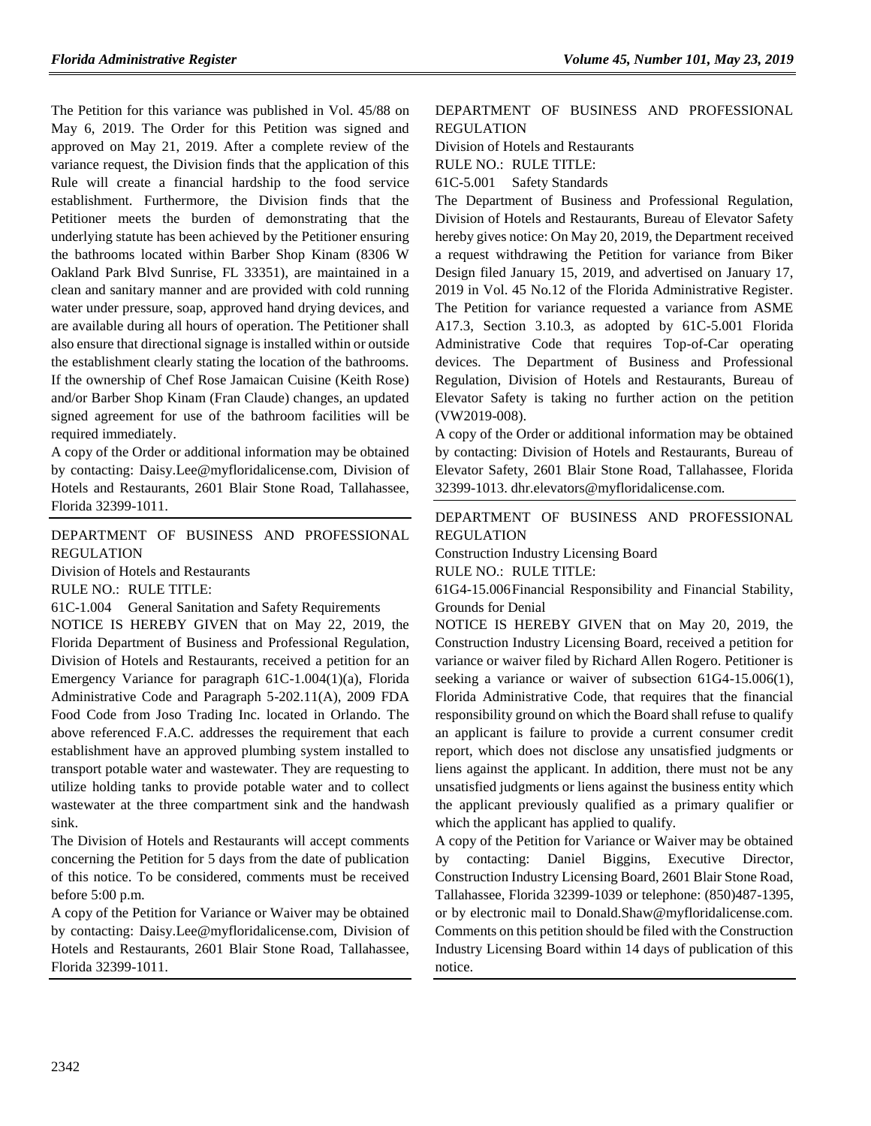The Petition for this variance was published in Vol. 45/88 on May 6, 2019. The Order for this Petition was signed and approved on May 21, 2019. After a complete review of the variance request, the Division finds that the application of this Rule will create a financial hardship to the food service establishment. Furthermore, the Division finds that the Petitioner meets the burden of demonstrating that the underlying statute has been achieved by the Petitioner ensuring the bathrooms located within Barber Shop Kinam (8306 W Oakland Park Blvd Sunrise, FL 33351), are maintained in a clean and sanitary manner and are provided with cold running water under pressure, soap, approved hand drying devices, and are available during all hours of operation. The Petitioner shall also ensure that directional signage is installed within or outside the establishment clearly stating the location of the bathrooms. If the ownership of Chef Rose Jamaican Cuisine (Keith Rose) and/or Barber Shop Kinam (Fran Claude) changes, an updated signed agreement for use of the bathroom facilities will be required immediately.

A copy of the Order or additional information may be obtained by contacting: Daisy.Lee@myfloridalicense.com, Division of Hotels and Restaurants, 2601 Blair Stone Road, Tallahassee, Florida 32399-1011.

[DEPARTMENT OF BUSINESS AND PROFESSIONAL](https://www.flrules.org/gateway/department.asp?id=61)  [REGULATION](https://www.flrules.org/gateway/department.asp?id=61)

[Division of Hotels and Restaurants](https://www.flrules.org/gateway/organization.asp?id=249)

RULE NO.: RULE TITLE:

[61C-1.004](https://www.flrules.org/gateway/ruleNo.asp?id=61C-1.004) General Sanitation and Safety Requirements

NOTICE IS HEREBY GIVEN that on May 22, 2019, the Florida Department of Business and Professional Regulation, Division of Hotels and Restaurants, received a petition for an Emergency Variance for paragraph 61C-1.004(1)(a), Florida Administrative Code and Paragraph 5-202.11(A), 2009 FDA Food Code from Joso Trading Inc. located in Orlando. The above referenced F.A.C. addresses the requirement that each establishment have an approved plumbing system installed to transport potable water and wastewater. They are requesting to utilize holding tanks to provide potable water and to collect wastewater at the three compartment sink and the handwash sink.

The Division of Hotels and Restaurants will accept comments concerning the Petition for 5 days from the date of publication of this notice. To be considered, comments must be received before 5:00 p.m.

A copy of the Petition for Variance or Waiver may be obtained by contacting: Daisy.Lee@myfloridalicense.com, Division of Hotels and Restaurants, 2601 Blair Stone Road, Tallahassee, Florida 32399-1011.

#### [DEPARTMENT OF BUSINESS AND PROFESSIONAL](https://www.flrules.org/gateway/department.asp?id=61)  [REGULATION](https://www.flrules.org/gateway/department.asp?id=61)

[Division of Hotels and Restaurants](https://www.flrules.org/gateway/organization.asp?id=249)

RULE NO.: RULE TITLE:

[61C-5.001](https://www.flrules.org/gateway/ruleNo.asp?id=61C-5.001) Safety Standards

The Department of Business and Professional Regulation, Division of Hotels and Restaurants, Bureau of Elevator Safety hereby gives notice: On May 20, 2019, the Department received a request withdrawing the Petition for variance from Biker Design filed January 15, 2019, and advertised on January 17, 2019 in Vol. 45 No.12 of the Florida Administrative Register. The Petition for variance requested a variance from ASME A17.3, Section 3.10.3, as adopted by 61C-5.001 Florida Administrative Code that requires Top-of-Car operating devices. The Department of Business and Professional Regulation, Division of Hotels and Restaurants, Bureau of Elevator Safety is taking no further action on the petition (VW2019-008).

A copy of the Order or additional information may be obtained by contacting: Division of Hotels and Restaurants, Bureau of Elevator Safety, 2601 Blair Stone Road, Tallahassee, Florida 32399-1013. dhr.elevators@myfloridalicense.com.

[DEPARTMENT OF BUSINESS AND PROFESSIONAL](https://www.flrules.org/gateway/department.asp?id=61)  [REGULATION](https://www.flrules.org/gateway/department.asp?id=61)

[Construction Industry Licensing Board](https://www.flrules.org/gateway/organization.asp?id=274)

RULE NO.: RULE TITLE:

[61G4-15.006F](https://www.flrules.org/gateway/ruleNo.asp?id=61G4-15.006)inancial Responsibility and Financial Stability, Grounds for Denial

NOTICE IS HEREBY GIVEN that on May 20, 2019, the Construction Industry Licensing Board, received a petition for variance or waiver filed by Richard Allen Rogero. Petitioner is seeking a variance or waiver of subsection 61G4-15.006(1), Florida Administrative Code, that requires that the financial responsibility ground on which the Board shall refuse to qualify an applicant is failure to provide a current consumer credit report, which does not disclose any unsatisfied judgments or liens against the applicant. In addition, there must not be any unsatisfied judgments or liens against the business entity which the applicant previously qualified as a primary qualifier or which the applicant has applied to qualify.

A copy of the Petition for Variance or Waiver may be obtained by contacting: Daniel Biggins, Executive Director, Construction Industry Licensing Board, 2601 Blair Stone Road, Tallahassee, Florida 32399-1039 or telephone: (850)487-1395, or by electronic mail to Donald.Shaw@myfloridalicense.com. Comments on this petition should be filed with the Construction Industry Licensing Board within 14 days of publication of this notice.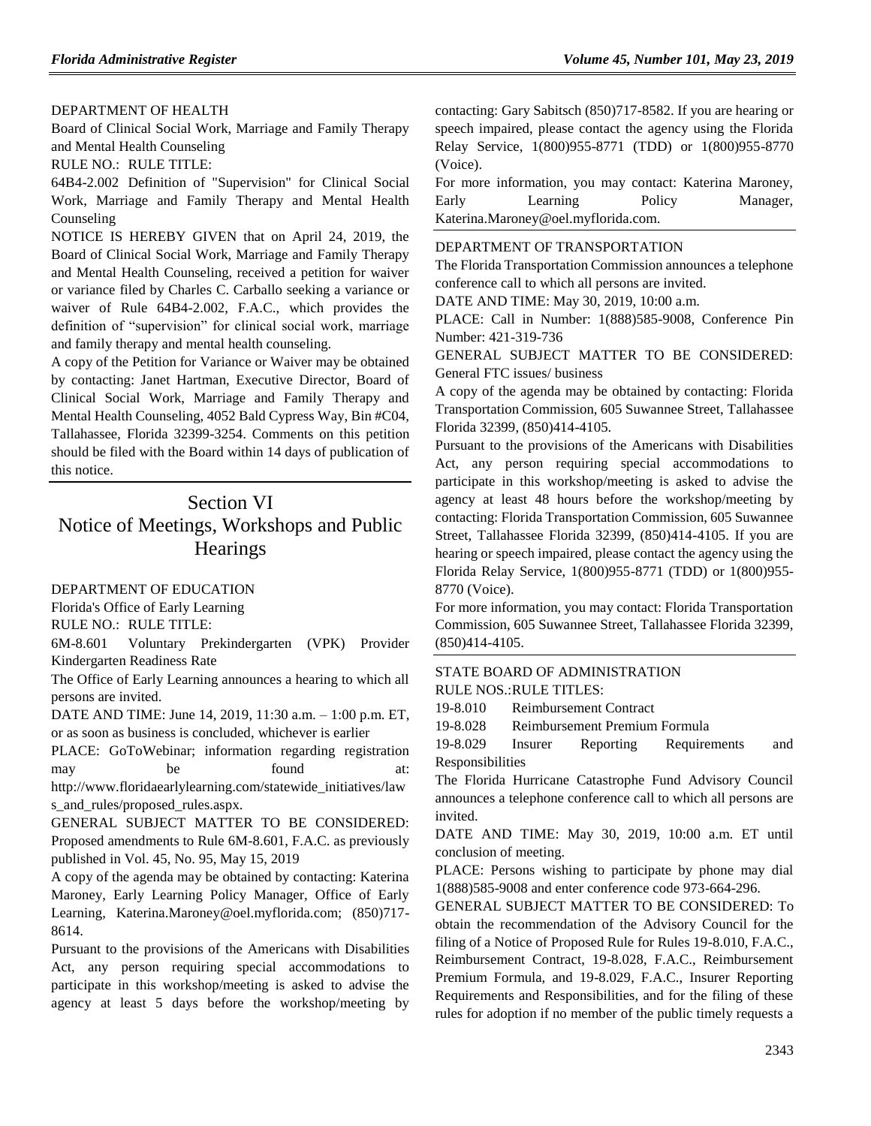#### [DEPARTMENT OF HEALTH](https://www.flrules.org/gateway/department.asp?id=64)

[Board of Clinical Social Work, Marriage and Family Therapy](https://www.flrules.org/gateway/organization.asp?id=327)  [and Mental Health Counseling](https://www.flrules.org/gateway/organization.asp?id=327)

RULE NO.: RULE TITLE:

[64B4-2.002](https://www.flrules.org/gateway/ruleNo.asp?id=64B4-2.002) Definition of "Supervision" for Clinical Social Work, Marriage and Family Therapy and Mental Health Counseling

NOTICE IS HEREBY GIVEN that on April 24, 2019, the Board of Clinical Social Work, Marriage and Family Therapy and Mental Health Counseling, received a petition for waiver or variance filed by Charles C. Carballo seeking a variance or waiver of Rule 64B4-2.002, F.A.C., which provides the definition of "supervision" for clinical social work, marriage and family therapy and mental health counseling.

A copy of the Petition for Variance or Waiver may be obtained by contacting: Janet Hartman, Executive Director, Board of Clinical Social Work, Marriage and Family Therapy and Mental Health Counseling, 4052 Bald Cypress Way, Bin #C04, Tallahassee, Florida 32399-3254. Comments on this petition should be filed with the Board within 14 days of publication of this notice.

# Section VI Notice of Meetings, Workshops and Public **Hearings**

#### [DEPARTMENT OF EDUCATION](https://www.flrules.org/gateway/department.asp?id=6)

[Florida's Office of Early Learning](https://www.flrules.org/gateway/organization.asp?id=1044)

RULE NO.: RULE TITLE:

[6M-8.601](https://www.flrules.org/gateway/ruleNo.asp?id=6M-8.601) Voluntary Prekindergarten (VPK) Provider Kindergarten Readiness Rate

The Office of Early Learning announces a hearing to which all persons are invited.

DATE AND TIME: June 14, 2019, 11:30 a.m. – 1:00 p.m. ET, or as soon as business is concluded, whichever is earlier

PLACE: GoToWebinar; information regarding registration may be found at: http://www.floridaearlylearning.com/statewide\_initiatives/law

s\_and\_rules/proposed\_rules.aspx.

GENERAL SUBJECT MATTER TO BE CONSIDERED: Proposed amendments to Rule 6M-8.601, F.A.C. as previously published in Vol. 45, No. 95, May 15, 2019

A copy of the agenda may be obtained by contacting: Katerina Maroney, Early Learning Policy Manager, Office of Early Learning, Katerina.Maroney@oel.myflorida.com; (850)717- 8614.

Pursuant to the provisions of the Americans with Disabilities Act, any person requiring special accommodations to participate in this workshop/meeting is asked to advise the agency at least 5 days before the workshop/meeting by

contacting: Gary Sabitsch (850)717-8582. If you are hearing or speech impaired, please contact the agency using the Florida Relay Service, 1(800)955-8771 (TDD) or 1(800)955-8770 (Voice).

For more information, you may contact: Katerina Maroney, Early Learning Policy Manager, Katerina.Maroney@oel.myflorida.com.

#### [DEPARTMENT OF TRANSPORTATION](https://www.flrules.org/gateway/department.asp?id=14)

The Florida Transportation Commission announces a telephone conference call to which all persons are invited.

DATE AND TIME: May 30, 2019, 10:00 a.m.

PLACE: Call in Number: 1(888)585-9008, Conference Pin Number: 421-319-736

GENERAL SUBJECT MATTER TO BE CONSIDERED: General FTC issues/ business

A copy of the agenda may be obtained by contacting: Florida Transportation Commission, 605 Suwannee Street, Tallahassee Florida 32399, (850)414-4105.

Pursuant to the provisions of the Americans with Disabilities Act, any person requiring special accommodations to participate in this workshop/meeting is asked to advise the agency at least 48 hours before the workshop/meeting by contacting: Florida Transportation Commission, 605 Suwannee Street, Tallahassee Florida 32399, (850)414-4105. If you are hearing or speech impaired, please contact the agency using the Florida Relay Service, 1(800)955-8771 (TDD) or 1(800)955- 8770 (Voice).

For more information, you may contact: Florida Transportation Commission, 605 Suwannee Street, Tallahassee Florida 32399, (850)414-4105.

#### [STATE BOARD OF ADMINISTRATION](https://www.flrules.org/gateway/department.asp?id=19)

RULE NOS.:RULE TITLES:

[19-8.010](https://www.flrules.org/gateway/ruleNo.asp?id=19-8.010) Reimbursement Contract

[19-8.028](https://www.flrules.org/gateway/ruleNo.asp?id=19-8.028) Reimbursement Premium Formula

[19-8.029](https://www.flrules.org/gateway/ruleNo.asp?id=19-8.029) Insurer Reporting Requirements and Responsibilities

The Florida Hurricane Catastrophe Fund Advisory Council announces a telephone conference call to which all persons are invited.

DATE AND TIME: May 30, 2019, 10:00 a.m. ET until conclusion of meeting.

PLACE: Persons wishing to participate by phone may dial 1(888)585-9008 and enter conference code 973-664-296.

GENERAL SUBJECT MATTER TO BE CONSIDERED: To obtain the recommendation of the Advisory Council for the filing of a Notice of Proposed Rule for Rules 19-8.010, F.A.C., Reimbursement Contract, 19-8.028, F.A.C., Reimbursement Premium Formula, and 19-8.029, F.A.C., Insurer Reporting Requirements and Responsibilities, and for the filing of these rules for adoption if no member of the public timely requests a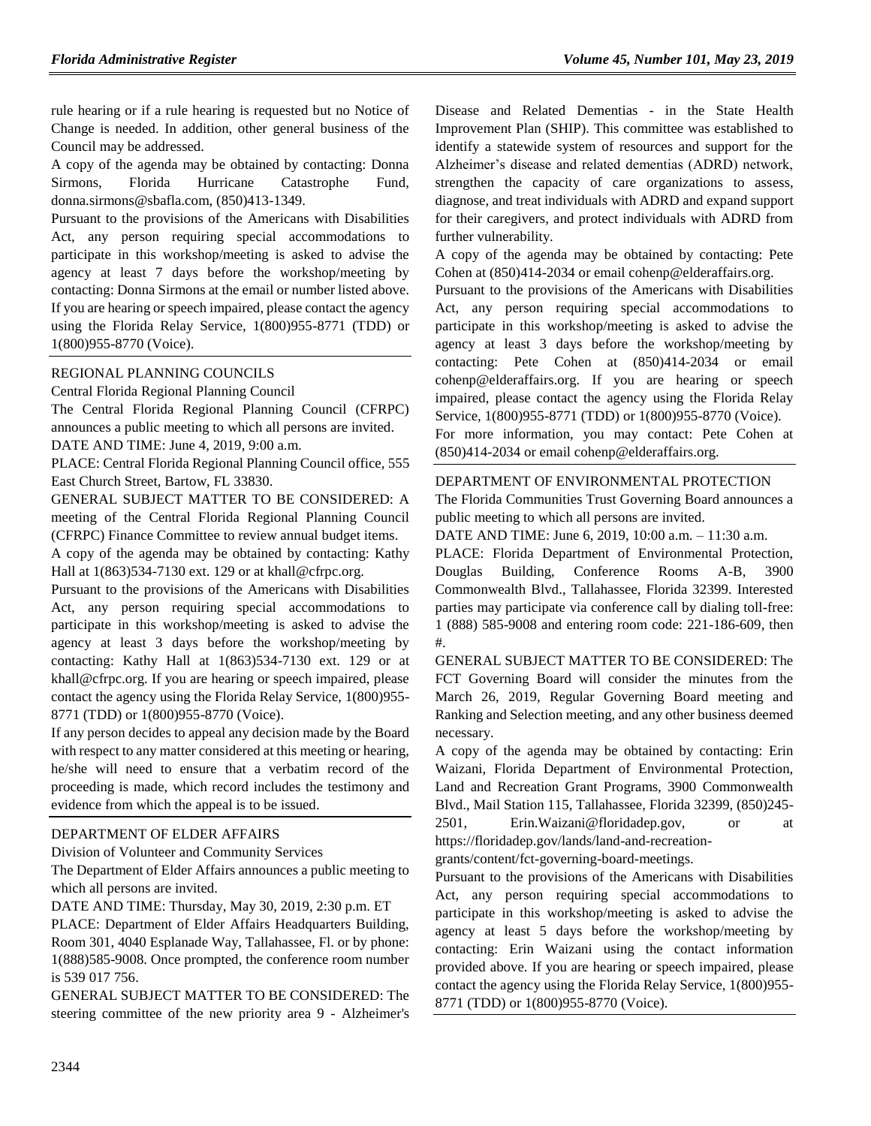rule hearing or if a rule hearing is requested but no Notice of Change is needed. In addition, other general business of the Council may be addressed.

A copy of the agenda may be obtained by contacting: Donna Sirmons, Florida Hurricane Catastrophe Fund, donna.sirmons@sbafla.com, (850)413-1349.

Pursuant to the provisions of the Americans with Disabilities Act, any person requiring special accommodations to participate in this workshop/meeting is asked to advise the agency at least 7 days before the workshop/meeting by contacting: Donna Sirmons at the email or number listed above. If you are hearing or speech impaired, please contact the agency using the Florida Relay Service, 1(800)955-8771 (TDD) or 1(800)955-8770 (Voice).

[REGIONAL PLANNING COUNCILS](https://www.flrules.org/gateway/department.asp?id=29)

[Central Florida Regional Planning Council](https://www.flrules.org/gateway/organization.asp?id=63)

The Central Florida Regional Planning Council (CFRPC) announces a public meeting to which all persons are invited. DATE AND TIME: June 4, 2019, 9:00 a.m.

PLACE: Central Florida Regional Planning Council office, 555 East Church Street, Bartow, FL 33830.

GENERAL SUBJECT MATTER TO BE CONSIDERED: A meeting of the Central Florida Regional Planning Council (CFRPC) Finance Committee to review annual budget items.

A copy of the agenda may be obtained by contacting: Kathy Hall at 1(863)534-7130 ext. 129 or at khall@cfrpc.org.

Pursuant to the provisions of the Americans with Disabilities Act, any person requiring special accommodations to participate in this workshop/meeting is asked to advise the agency at least 3 days before the workshop/meeting by contacting: Kathy Hall at 1(863)534-7130 ext. 129 or at khall@cfrpc.org. If you are hearing or speech impaired, please contact the agency using the Florida Relay Service, 1(800)955- 8771 (TDD) or 1(800)955-8770 (Voice).

If any person decides to appeal any decision made by the Board with respect to any matter considered at this meeting or hearing, he/she will need to ensure that a verbatim record of the proceeding is made, which record includes the testimony and evidence from which the appeal is to be issued.

#### [DEPARTMENT OF ELDER AFFAIRS](https://www.flrules.org/gateway/department.asp?id=58)

[Division of Volunteer and Community Services](https://www.flrules.org/gateway/organization.asp?id=530)

The Department of Elder Affairs announces a public meeting to which all persons are invited.

DATE AND TIME: Thursday, May 30, 2019, 2:30 p.m. ET

PLACE: Department of Elder Affairs Headquarters Building, Room 301, 4040 Esplanade Way, Tallahassee, Fl. or by phone: 1(888)585-9008. Once prompted, the conference room number is 539 017 756.

GENERAL SUBJECT MATTER TO BE CONSIDERED: The steering committee of the new priority area 9 - Alzheimer's Disease and Related Dementias - in the State Health Improvement Plan (SHIP). This committee was established to identify a statewide system of resources and support for the Alzheimer's disease and related dementias (ADRD) network, strengthen the capacity of care organizations to assess, diagnose, and treat individuals with ADRD and expand support for their caregivers, and protect individuals with ADRD from further vulnerability.

A copy of the agenda may be obtained by contacting: Pete Cohen at (850)414-2034 or email cohenp@elderaffairs.org.

Pursuant to the provisions of the Americans with Disabilities Act, any person requiring special accommodations to participate in this workshop/meeting is asked to advise the agency at least 3 days before the workshop/meeting by contacting: Pete Cohen at (850)414-2034 or email cohenp@elderaffairs.org. If you are hearing or speech impaired, please contact the agency using the Florida Relay Service, 1(800)955-8771 (TDD) or 1(800)955-8770 (Voice).

For more information, you may contact: Pete Cohen at (850)414-2034 or email cohenp@elderaffairs.org.

#### [DEPARTMENT OF ENVIRONMENTAL PROTECTION](https://www.flrules.org/gateway/department.asp?id=62)

The Florida Communities Trust Governing Board announces a public meeting to which all persons are invited.

DATE AND TIME: June 6, 2019, 10:00 a.m. – 11:30 a.m.

PLACE: Florida Department of Environmental Protection, Douglas Building, Conference Rooms A-B, 3900 Commonwealth Blvd., Tallahassee, Florida 32399. Interested parties may participate via conference call by dialing toll-free: 1 (888) 585-9008 and entering room code: 221-186-609, then #.

GENERAL SUBJECT MATTER TO BE CONSIDERED: The FCT Governing Board will consider the minutes from the March 26, 2019, Regular Governing Board meeting and Ranking and Selection meeting, and any other business deemed necessary.

A copy of the agenda may be obtained by contacting: Erin Waizani, Florida Department of Environmental Protection, Land and Recreation Grant Programs, 3900 Commonwealth Blvd., Mail Station 115, Tallahassee, Florida 32399, (850)245- 2501, Erin.Waizani@floridadep.gov, or at

https://floridadep.gov/lands/land-and-recreation-

grants/content/fct-governing-board-meetings.

Pursuant to the provisions of the Americans with Disabilities Act, any person requiring special accommodations to participate in this workshop/meeting is asked to advise the agency at least 5 days before the workshop/meeting by contacting: Erin Waizani using the contact information provided above. If you are hearing or speech impaired, please contact the agency using the Florida Relay Service, 1(800)955- 8771 (TDD) or 1(800)955-8770 (Voice).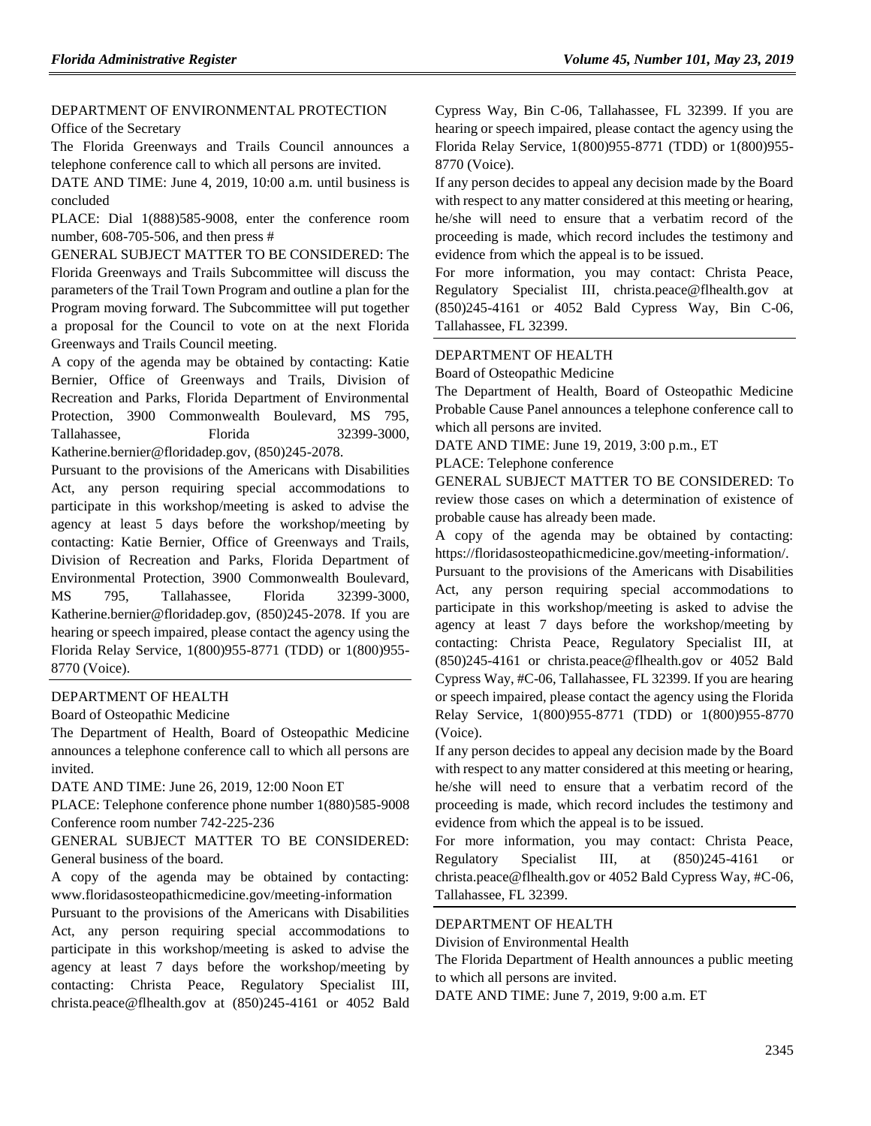#### [DEPARTMENT OF ENVIRONMENTAL PROTECTION](https://www.flrules.org/gateway/department.asp?id=62) [Office of the Secretary](https://www.flrules.org/gateway/organization.asp?id=294)

The Florida Greenways and Trails Council announces a telephone conference call to which all persons are invited.

DATE AND TIME: June 4, 2019, 10:00 a.m. until business is concluded

PLACE: Dial 1(888)585-9008, enter the conference room number, 608-705-506, and then press #

GENERAL SUBJECT MATTER TO BE CONSIDERED: The Florida Greenways and Trails Subcommittee will discuss the parameters of the Trail Town Program and outline a plan for the Program moving forward. The Subcommittee will put together a proposal for the Council to vote on at the next Florida Greenways and Trails Council meeting.

A copy of the agenda may be obtained by contacting: Katie Bernier, Office of Greenways and Trails, Division of Recreation and Parks, Florida Department of Environmental Protection, 3900 Commonwealth Boulevard, MS 795, Tallahassee, Florida 32399-3000, Katherine.bernier@floridadep.gov, (850)245-2078.

Pursuant to the provisions of the Americans with Disabilities Act, any person requiring special accommodations to participate in this workshop/meeting is asked to advise the agency at least 5 days before the workshop/meeting by contacting: Katie Bernier, Office of Greenways and Trails, Division of Recreation and Parks, Florida Department of Environmental Protection, 3900 Commonwealth Boulevard, MS 795, Tallahassee, Florida 32399-3000, Katherine.bernier@floridadep.gov, (850)245-2078. If you are hearing or speech impaired, please contact the agency using the Florida Relay Service, 1(800)955-8771 (TDD) or 1(800)955- 8770 (Voice).

#### [DEPARTMENT OF HEALTH](https://www.flrules.org/gateway/department.asp?id=64)

[Board of Osteopathic Medicine](https://www.flrules.org/gateway/organization.asp?id=306)

The Department of Health, Board of Osteopathic Medicine announces a telephone conference call to which all persons are invited.

DATE AND TIME: June 26, 2019, 12:00 Noon ET

PLACE: Telephone conference phone number 1(880)585-9008 Conference room number 742-225-236

GENERAL SUBJECT MATTER TO BE CONSIDERED: General business of the board.

A copy of the agenda may be obtained by contacting: www.floridasosteopathicmedicine.gov/meeting-information

Pursuant to the provisions of the Americans with Disabilities Act, any person requiring special accommodations to participate in this workshop/meeting is asked to advise the agency at least 7 days before the workshop/meeting by contacting: Christa Peace, Regulatory Specialist III, christa.peace@flhealth.gov at (850)245-4161 or 4052 Bald Cypress Way, Bin C-06, Tallahassee, FL 32399. If you are hearing or speech impaired, please contact the agency using the Florida Relay Service, 1(800)955-8771 (TDD) or 1(800)955- 8770 (Voice).

If any person decides to appeal any decision made by the Board with respect to any matter considered at this meeting or hearing, he/she will need to ensure that a verbatim record of the proceeding is made, which record includes the testimony and evidence from which the appeal is to be issued.

For more information, you may contact: Christa Peace, Regulatory Specialist III, christa.peace@flhealth.gov at (850)245-4161 or 4052 Bald Cypress Way, Bin C-06, Tallahassee, FL 32399.

#### [DEPARTMENT OF HEALTH](https://www.flrules.org/gateway/department.asp?id=64)

[Board of Osteopathic Medicine](https://www.flrules.org/gateway/organization.asp?id=306)

The Department of Health, Board of Osteopathic Medicine Probable Cause Panel announces a telephone conference call to which all persons are invited.

DATE AND TIME: June 19, 2019, 3:00 p.m., ET

PLACE: Telephone conference

GENERAL SUBJECT MATTER TO BE CONSIDERED: To review those cases on which a determination of existence of probable cause has already been made.

A copy of the agenda may be obtained by contacting: https://floridasosteopathicmedicine.gov/meeting-information/.

Pursuant to the provisions of the Americans with Disabilities Act, any person requiring special accommodations to participate in this workshop/meeting is asked to advise the agency at least 7 days before the workshop/meeting by contacting: Christa Peace, Regulatory Specialist III, at (850)245-4161 or christa.peace@flhealth.gov or 4052 Bald Cypress Way, #C-06, Tallahassee, FL 32399. If you are hearing or speech impaired, please contact the agency using the Florida Relay Service, 1(800)955-8771 (TDD) or 1(800)955-8770 (Voice).

If any person decides to appeal any decision made by the Board with respect to any matter considered at this meeting or hearing, he/she will need to ensure that a verbatim record of the proceeding is made, which record includes the testimony and evidence from which the appeal is to be issued.

For more information, you may contact: Christa Peace, Regulatory Specialist III, at  $(850)245-4161$ christa.peace@flhealth.gov or 4052 Bald Cypress Way, #C-06, Tallahassee, FL 32399.

#### [DEPARTMENT OF HEALTH](https://www.flrules.org/gateway/department.asp?id=64)

[Division of Environmental Health](https://www.flrules.org/gateway/organization.asp?id=335)

The Florida Department of Health announces a public meeting to which all persons are invited.

DATE AND TIME: June 7, 2019, 9:00 a.m. ET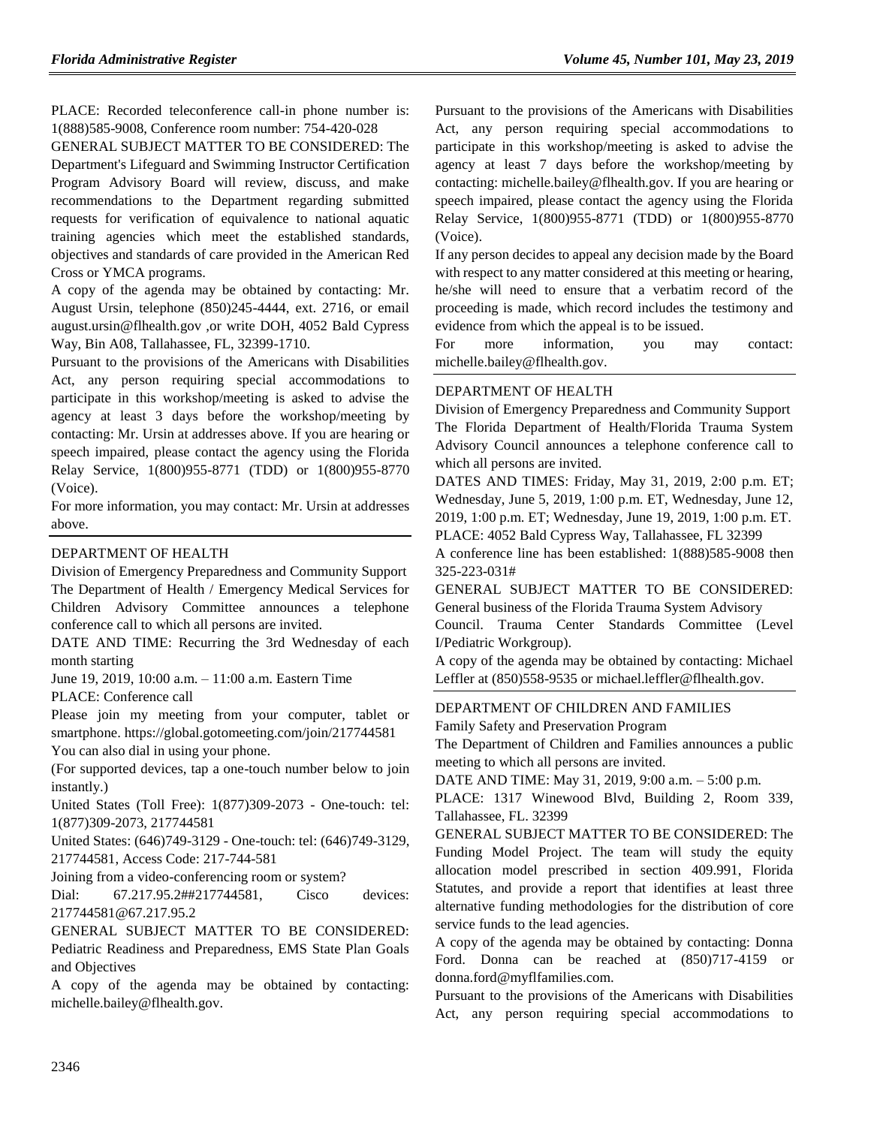PLACE: Recorded teleconference call-in phone number is: 1(888)585-9008, Conference room number: 754-420-028

GENERAL SUBJECT MATTER TO BE CONSIDERED: The Department's Lifeguard and Swimming Instructor Certification Program Advisory Board will review, discuss, and make recommendations to the Department regarding submitted requests for verification of equivalence to national aquatic training agencies which meet the established standards, objectives and standards of care provided in the American Red Cross or YMCA programs.

A copy of the agenda may be obtained by contacting: Mr. August Ursin, telephone (850)245-4444, ext. 2716, or email august.ursin@flhealth.gov ,or write DOH, 4052 Bald Cypress Way, Bin A08, Tallahassee, FL, 32399-1710.

Pursuant to the provisions of the Americans with Disabilities Act, any person requiring special accommodations to participate in this workshop/meeting is asked to advise the agency at least 3 days before the workshop/meeting by contacting: Mr. Ursin at addresses above. If you are hearing or speech impaired, please contact the agency using the Florida Relay Service, 1(800)955-8771 (TDD) or 1(800)955-8770 (Voice).

For more information, you may contact: Mr. Ursin at addresses above.

#### [DEPARTMENT OF HEALTH](https://www.flrules.org/gateway/department.asp?id=64)

[Division of Emergency Preparedness and Community Support](https://www.flrules.org/gateway/organization.asp?id=832) The Department of Health / Emergency Medical Services for Children Advisory Committee announces a telephone conference call to which all persons are invited.

DATE AND TIME: Recurring the 3rd Wednesday of each month starting

June 19, 2019, 10:00 a.m. – 11:00 a.m. Eastern Time

PLACE: Conference call

Please join my meeting from your computer, tablet or smartphone. https://global.gotomeeting.com/join/217744581 You can also dial in using your phone.

(For supported devices, tap a one-touch number below to join instantly.)

United States (Toll Free): 1(877)309-2073 - One-touch: tel: 1(877)309-2073, 217744581

United States: (646)749-3129 - One-touch: tel: (646)749-3129, 217744581, Access Code: 217-744-581

Joining from a video-conferencing room or system?

Dial: 67.217.95.2##217744581, Cisco devices: 217744581@67.217.95.2

GENERAL SUBJECT MATTER TO BE CONSIDERED: Pediatric Readiness and Preparedness, EMS State Plan Goals and Objectives

A copy of the agenda may be obtained by contacting: michelle.bailey@flhealth.gov.

Pursuant to the provisions of the Americans with Disabilities Act, any person requiring special accommodations to participate in this workshop/meeting is asked to advise the agency at least 7 days before the workshop/meeting by contacting: michelle.bailey@flhealth.gov. If you are hearing or speech impaired, please contact the agency using the Florida Relay Service, 1(800)955-8771 (TDD) or 1(800)955-8770 (Voice).

If any person decides to appeal any decision made by the Board with respect to any matter considered at this meeting or hearing, he/she will need to ensure that a verbatim record of the proceeding is made, which record includes the testimony and evidence from which the appeal is to be issued.

For more information, you may contact: michelle.bailey@flhealth.gov.

#### [DEPARTMENT OF HEALTH](https://www.flrules.org/gateway/department.asp?id=64)

[Division of Emergency Preparedness and Community Support](https://www.flrules.org/gateway/organization.asp?id=832) The Florida Department of Health/Florida Trauma System Advisory Council announces a telephone conference call to which all persons are invited.

DATES AND TIMES: Friday, May 31, 2019, 2:00 p.m. ET; Wednesday, June 5, 2019, 1:00 p.m. ET, Wednesday, June 12, 2019, 1:00 p.m. ET; Wednesday, June 19, 2019, 1:00 p.m. ET. PLACE: 4052 Bald Cypress Way, Tallahassee, FL 32399

A conference line has been established: 1(888)585-9008 then 325-223-031#

GENERAL SUBJECT MATTER TO BE CONSIDERED: General business of the Florida Trauma System Advisory

Council. Trauma Center Standards Committee (Level I/Pediatric Workgroup).

A copy of the agenda may be obtained by contacting: Michael Leffler at (850)558-9535 or michael.leffler@flhealth.gov.

#### [DEPARTMENT OF CHILDREN AND FAMILIES](https://www.flrules.org/gateway/department.asp?id=65)

[Family Safety and Preservation Program](https://www.flrules.org/gateway/organization.asp?id=342)

The Department of Children and Families announces a public meeting to which all persons are invited.

DATE AND TIME: May 31, 2019, 9:00 a.m. – 5:00 p.m.

PLACE: 1317 Winewood Blvd, Building 2, Room 339, Tallahassee, FL. 32399

GENERAL SUBJECT MATTER TO BE CONSIDERED: The Funding Model Project. The team will study the equity allocation model prescribed in section 409.991, Florida Statutes, and provide a report that identifies at least three alternative funding methodologies for the distribution of core service funds to the lead agencies.

A copy of the agenda may be obtained by contacting: Donna Ford. Donna can be reached at (850)717-4159 or donna.ford@myflfamilies.com.

Pursuant to the provisions of the Americans with Disabilities Act, any person requiring special accommodations to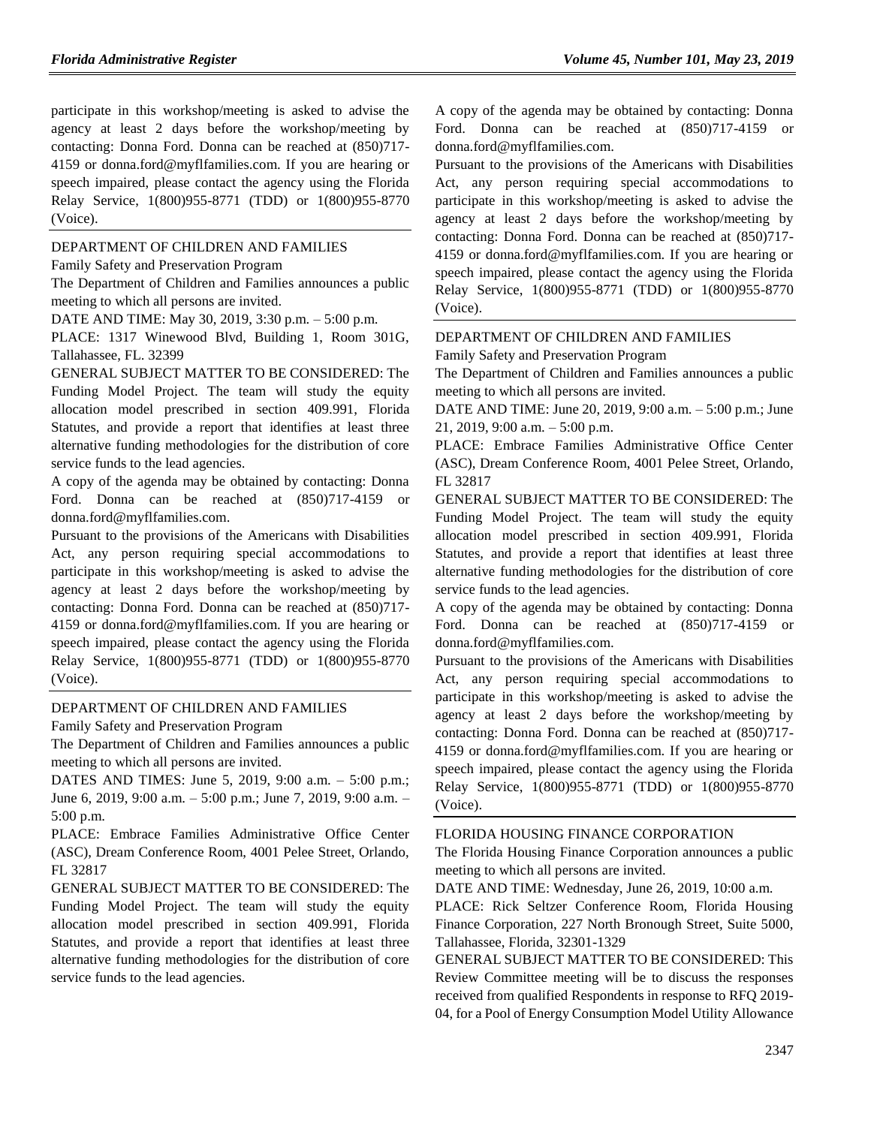participate in this workshop/meeting is asked to advise the agency at least 2 days before the workshop/meeting by contacting: Donna Ford. Donna can be reached at (850)717- 4159 or donna.ford@myflfamilies.com. If you are hearing or speech impaired, please contact the agency using the Florida Relay Service, 1(800)955-8771 (TDD) or 1(800)955-8770 (Voice).

#### [DEPARTMENT OF CHILDREN AND FAMILIES](https://www.flrules.org/gateway/department.asp?id=65)

[Family Safety and Preservation Program](https://www.flrules.org/gateway/organization.asp?id=342)

The Department of Children and Families announces a public meeting to which all persons are invited.

DATE AND TIME: May 30, 2019, 3:30 p.m. – 5:00 p.m.

PLACE: 1317 Winewood Blvd, Building 1, Room 301G, Tallahassee, FL. 32399

GENERAL SUBJECT MATTER TO BE CONSIDERED: The Funding Model Project. The team will study the equity allocation model prescribed in section 409.991, Florida Statutes, and provide a report that identifies at least three alternative funding methodologies for the distribution of core service funds to the lead agencies.

A copy of the agenda may be obtained by contacting: Donna Ford. Donna can be reached at (850)717-4159 or donna.ford@myflfamilies.com.

Pursuant to the provisions of the Americans with Disabilities Act, any person requiring special accommodations to participate in this workshop/meeting is asked to advise the agency at least 2 days before the workshop/meeting by contacting: Donna Ford. Donna can be reached at (850)717- 4159 or donna.ford@myflfamilies.com. If you are hearing or speech impaired, please contact the agency using the Florida Relay Service, 1(800)955-8771 (TDD) or 1(800)955-8770 (Voice).

#### [DEPARTMENT OF CHILDREN AND FAMILIES](https://www.flrules.org/gateway/department.asp?id=65)

[Family Safety and Preservation Program](https://www.flrules.org/gateway/organization.asp?id=342)

The Department of Children and Families announces a public meeting to which all persons are invited.

DATES AND TIMES: June 5, 2019, 9:00 a.m. – 5:00 p.m.; June 6, 2019, 9:00 a.m. – 5:00 p.m.; June 7, 2019, 9:00 a.m. – 5:00 p.m.

PLACE: Embrace Families Administrative Office Center (ASC), Dream Conference Room, 4001 Pelee Street, Orlando, FL 32817

GENERAL SUBJECT MATTER TO BE CONSIDERED: The Funding Model Project. The team will study the equity allocation model prescribed in section 409.991, Florida Statutes, and provide a report that identifies at least three alternative funding methodologies for the distribution of core service funds to the lead agencies.

A copy of the agenda may be obtained by contacting: Donna Ford. Donna can be reached at (850)717-4159 or donna.ford@myflfamilies.com.

Pursuant to the provisions of the Americans with Disabilities Act, any person requiring special accommodations to participate in this workshop/meeting is asked to advise the agency at least 2 days before the workshop/meeting by contacting: Donna Ford. Donna can be reached at (850)717- 4159 or donna.ford@myflfamilies.com. If you are hearing or speech impaired, please contact the agency using the Florida Relay Service, 1(800)955-8771 (TDD) or 1(800)955-8770 (Voice).

#### [DEPARTMENT OF CHILDREN AND FAMILIES](https://www.flrules.org/gateway/department.asp?id=65)

[Family Safety and Preservation Program](https://www.flrules.org/gateway/organization.asp?id=342)

The Department of Children and Families announces a public meeting to which all persons are invited.

DATE AND TIME: June 20, 2019, 9:00 a.m. – 5:00 p.m.; June 21, 2019, 9:00 a.m. – 5:00 p.m.

PLACE: Embrace Families Administrative Office Center (ASC), Dream Conference Room, 4001 Pelee Street, Orlando, FL 32817

GENERAL SUBJECT MATTER TO BE CONSIDERED: The Funding Model Project. The team will study the equity allocation model prescribed in section 409.991, Florida Statutes, and provide a report that identifies at least three alternative funding methodologies for the distribution of core service funds to the lead agencies.

A copy of the agenda may be obtained by contacting: Donna Ford. Donna can be reached at (850)717-4159 or donna.ford@myflfamilies.com.

Pursuant to the provisions of the Americans with Disabilities Act, any person requiring special accommodations to participate in this workshop/meeting is asked to advise the agency at least 2 days before the workshop/meeting by contacting: Donna Ford. Donna can be reached at (850)717- 4159 or donna.ford@myflfamilies.com. If you are hearing or speech impaired, please contact the agency using the Florida Relay Service, 1(800)955-8771 (TDD) or 1(800)955-8770 (Voice).

#### [FLORIDA HOUSING FINANCE CORPORATION](https://www.flrules.org/gateway/department.asp?id=67)

The Florida Housing Finance Corporation announces a public meeting to which all persons are invited.

DATE AND TIME: Wednesday, June 26, 2019, 10:00 a.m.

PLACE: Rick Seltzer Conference Room, Florida Housing Finance Corporation, 227 North Bronough Street, Suite 5000, Tallahassee, Florida, 32301-1329

GENERAL SUBJECT MATTER TO BE CONSIDERED: This Review Committee meeting will be to discuss the responses received from qualified Respondents in response to RFQ 2019- 04, for a Pool of Energy Consumption Model Utility Allowance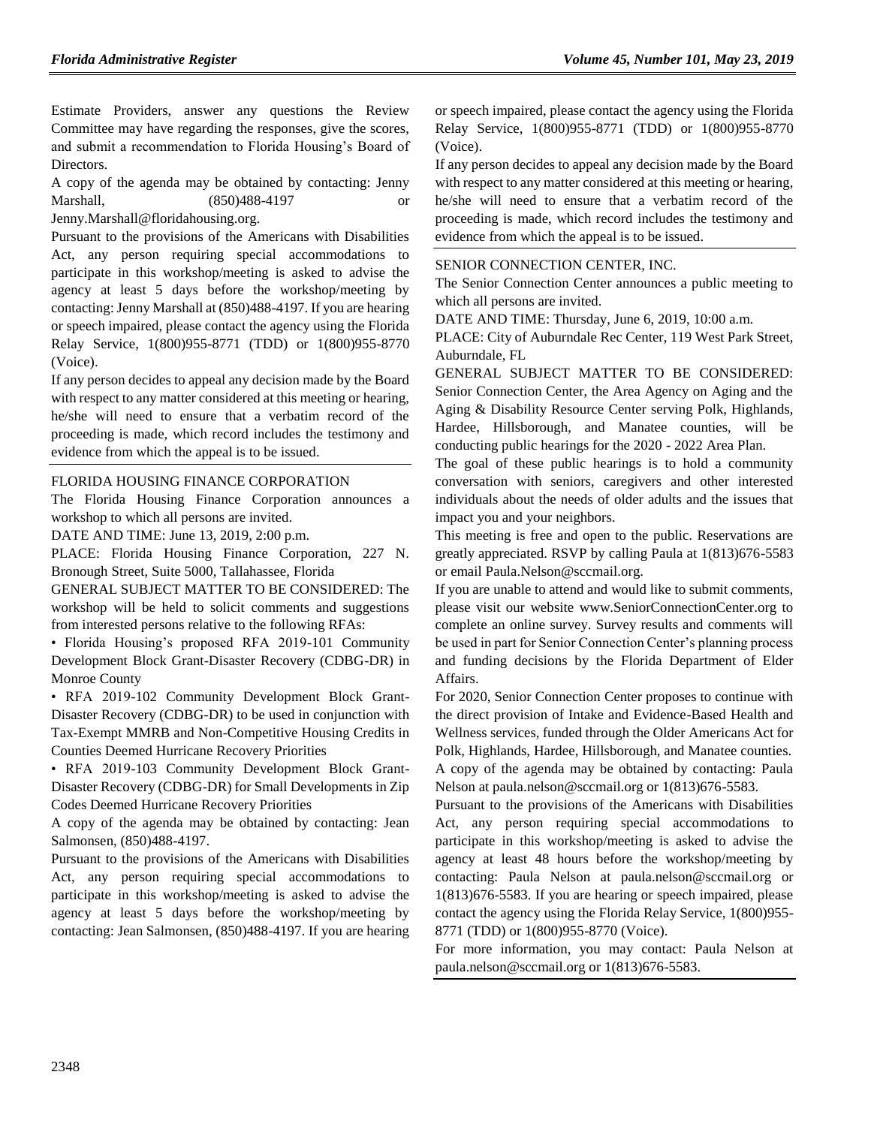Estimate Providers, answer any questions the Review Committee may have regarding the responses, give the scores, and submit a recommendation to Florida Housing's Board of Directors.

A copy of the agenda may be obtained by contacting: Jenny Marshall, (850)488-4197 or

Jenny.Marshall@floridahousing.org.

Pursuant to the provisions of the Americans with Disabilities Act, any person requiring special accommodations to participate in this workshop/meeting is asked to advise the agency at least 5 days before the workshop/meeting by contacting: Jenny Marshall at (850)488-4197. If you are hearing or speech impaired, please contact the agency using the Florida Relay Service, 1(800)955-8771 (TDD) or 1(800)955-8770 (Voice).

If any person decides to appeal any decision made by the Board with respect to any matter considered at this meeting or hearing, he/she will need to ensure that a verbatim record of the proceeding is made, which record includes the testimony and evidence from which the appeal is to be issued.

#### [FLORIDA HOUSING FINANCE CORPORATION](https://www.flrules.org/gateway/department.asp?id=67)

The Florida Housing Finance Corporation announces a workshop to which all persons are invited.

DATE AND TIME: June 13, 2019, 2:00 p.m.

PLACE: Florida Housing Finance Corporation, 227 N. Bronough Street, Suite 5000, Tallahassee, Florida

GENERAL SUBJECT MATTER TO BE CONSIDERED: The workshop will be held to solicit comments and suggestions from interested persons relative to the following RFAs:

• Florida Housing's proposed RFA 2019-101 Community Development Block Grant-Disaster Recovery (CDBG-DR) in Monroe County

• RFA 2019-102 Community Development Block Grant-Disaster Recovery (CDBG-DR) to be used in conjunction with Tax-Exempt MMRB and Non-Competitive Housing Credits in Counties Deemed Hurricane Recovery Priorities

• RFA 2019-103 Community Development Block Grant-Disaster Recovery (CDBG-DR) for Small Developments in Zip Codes Deemed Hurricane Recovery Priorities

A copy of the agenda may be obtained by contacting: Jean Salmonsen, (850)488-4197.

Pursuant to the provisions of the Americans with Disabilities Act, any person requiring special accommodations to participate in this workshop/meeting is asked to advise the agency at least 5 days before the workshop/meeting by contacting: Jean Salmonsen, (850)488-4197. If you are hearing

or speech impaired, please contact the agency using the Florida Relay Service, 1(800)955-8771 (TDD) or 1(800)955-8770 (Voice).

If any person decides to appeal any decision made by the Board with respect to any matter considered at this meeting or hearing, he/she will need to ensure that a verbatim record of the proceeding is made, which record includes the testimony and evidence from which the appeal is to be issued.

#### [SENIOR CONNECTION CENTER, INC.](https://www.flrules.org/gateway/organization.asp?id=706)

The Senior Connection Center announces a public meeting to which all persons are invited.

DATE AND TIME: Thursday, June 6, 2019, 10:00 a.m.

PLACE: City of Auburndale Rec Center, 119 West Park Street, Auburndale, FL

GENERAL SUBJECT MATTER TO BE CONSIDERED: Senior Connection Center, the Area Agency on Aging and the Aging & Disability Resource Center serving Polk, Highlands, Hardee, Hillsborough, and Manatee counties, will be conducting public hearings for the 2020 - 2022 Area Plan.

The goal of these public hearings is to hold a community conversation with seniors, caregivers and other interested individuals about the needs of older adults and the issues that impact you and your neighbors.

This meeting is free and open to the public. Reservations are greatly appreciated. RSVP by calling Paula at 1(813)676-5583 or email Paula.Nelson@sccmail.org.

If you are unable to attend and would like to submit comments, please visit our website www.SeniorConnectionCenter.org to complete an online survey. Survey results and comments will be used in part for Senior Connection Center's planning process and funding decisions by the Florida Department of Elder Affairs.

For 2020, Senior Connection Center proposes to continue with the direct provision of Intake and Evidence-Based Health and Wellness services, funded through the Older Americans Act for Polk, Highlands, Hardee, Hillsborough, and Manatee counties. A copy of the agenda may be obtained by contacting: Paula Nelson at paula.nelson@sccmail.org or 1(813)676-5583.

Pursuant to the provisions of the Americans with Disabilities Act, any person requiring special accommodations to participate in this workshop/meeting is asked to advise the agency at least 48 hours before the workshop/meeting by contacting: Paula Nelson at paula.nelson@sccmail.org or 1(813)676-5583. If you are hearing or speech impaired, please contact the agency using the Florida Relay Service, 1(800)955- 8771 (TDD) or 1(800)955-8770 (Voice).

For more information, you may contact: Paula Nelson at paula.nelson@sccmail.org or 1(813)676-5583.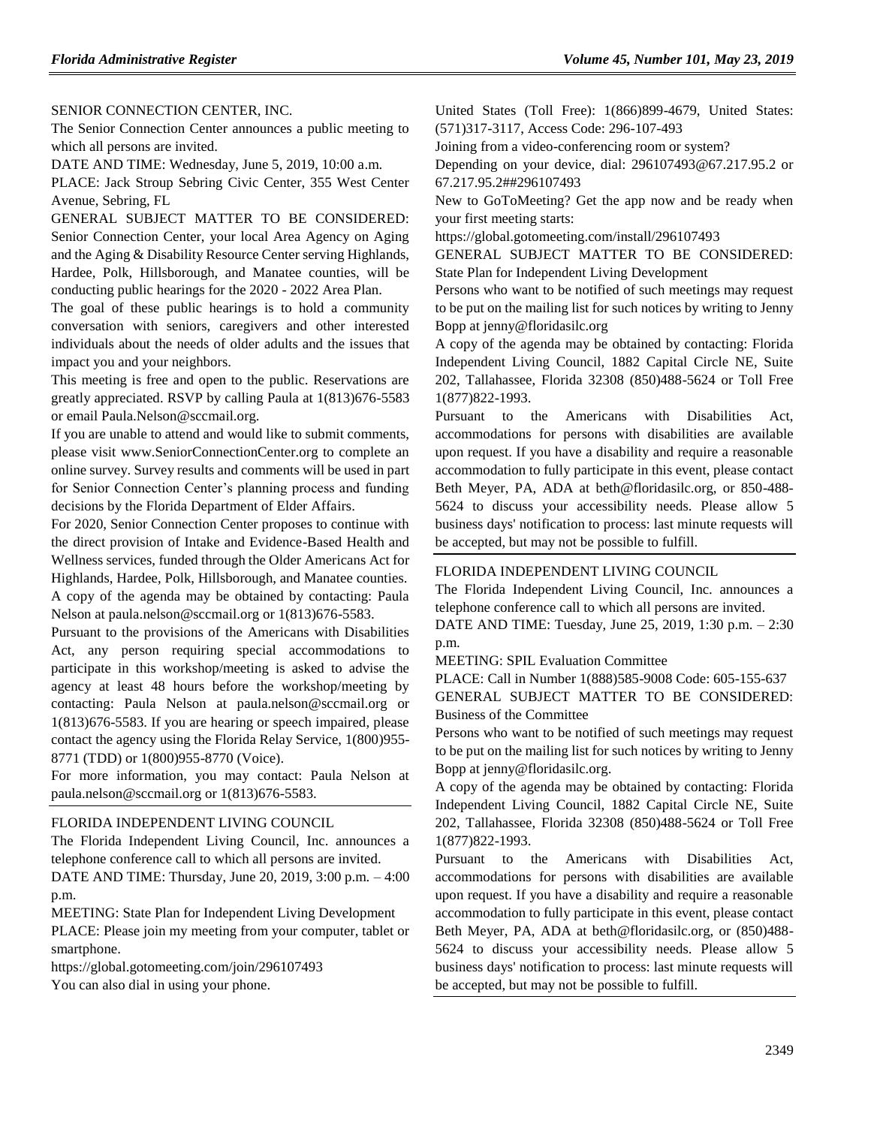[SENIOR CONNECTION CENTER, INC.](https://www.flrules.org/gateway/organization.asp?id=706)

The Senior Connection Center announces a public meeting to which all persons are invited.

DATE AND TIME: Wednesday, June 5, 2019, 10:00 a.m.

PLACE: Jack Stroup Sebring Civic Center, 355 West Center Avenue, Sebring, FL

GENERAL SUBJECT MATTER TO BE CONSIDERED: Senior Connection Center, your local Area Agency on Aging and the Aging & Disability Resource Center serving Highlands, Hardee, Polk, Hillsborough, and Manatee counties, will be conducting public hearings for the 2020 - 2022 Area Plan.

The goal of these public hearings is to hold a community conversation with seniors, caregivers and other interested individuals about the needs of older adults and the issues that impact you and your neighbors.

This meeting is free and open to the public. Reservations are greatly appreciated. RSVP by calling Paula at 1(813)676-5583 or email Paula.Nelson@sccmail.org.

If you are unable to attend and would like to submit comments, please visit www.SeniorConnectionCenter.org to complete an online survey. Survey results and comments will be used in part for Senior Connection Center's planning process and funding decisions by the Florida Department of Elder Affairs.

For 2020, Senior Connection Center proposes to continue with the direct provision of Intake and Evidence-Based Health and Wellness services, funded through the Older Americans Act for Highlands, Hardee, Polk, Hillsborough, and Manatee counties. A copy of the agenda may be obtained by contacting: Paula Nelson at paula.nelson@sccmail.org or 1(813)676-5583.

Pursuant to the provisions of the Americans with Disabilities Act, any person requiring special accommodations to participate in this workshop/meeting is asked to advise the agency at least 48 hours before the workshop/meeting by contacting: Paula Nelson at paula.nelson@sccmail.org or 1(813)676-5583. If you are hearing or speech impaired, please contact the agency using the Florida Relay Service, 1(800)955- 8771 (TDD) or 1(800)955-8770 (Voice).

For more information, you may contact: Paula Nelson at paula.nelson@sccmail.org or 1(813)676-5583.

#### [FLORIDA INDEPENDENT LIVING COUNCIL](https://www.flrules.org/gateway/organization.asp?id=616)

The Florida Independent Living Council, Inc. announces a telephone conference call to which all persons are invited. DATE AND TIME: Thursday, June 20, 2019, 3:00 p.m. – 4:00

p.m.

MEETING: State Plan for Independent Living Development PLACE: Please join my meeting from your computer, tablet or smartphone.

https://global.gotomeeting.com/join/296107493 You can also dial in using your phone.

United States (Toll Free): 1(866)899-4679, United States: (571)317-3117, Access Code: 296-107-493

Joining from a video-conferencing room or system?

Depending on your device, dial: 296107493@67.217.95.2 or 67.217.95.2##296107493

New to GoToMeeting? Get the app now and be ready when your first meeting starts:

https://global.gotomeeting.com/install/296107493

GENERAL SUBJECT MATTER TO BE CONSIDERED: State Plan for Independent Living Development

Persons who want to be notified of such meetings may request to be put on the mailing list for such notices by writing to Jenny Bopp at jenny@floridasilc.org

A copy of the agenda may be obtained by contacting: Florida Independent Living Council, 1882 Capital Circle NE, Suite 202, Tallahassee, Florida 32308 (850)488-5624 or Toll Free 1(877)822-1993.

Pursuant to the Americans with Disabilities Act, accommodations for persons with disabilities are available upon request. If you have a disability and require a reasonable accommodation to fully participate in this event, please contact Beth Meyer, PA, ADA at beth@floridasilc.org, or 850-488- 5624 to discuss your accessibility needs. Please allow 5 business days' notification to process: last minute requests will be accepted, but may not be possible to fulfill.

#### [FLORIDA INDEPENDENT LIVING COUNCIL](https://www.flrules.org/gateway/organization.asp?id=616)

The Florida Independent Living Council, Inc. announces a telephone conference call to which all persons are invited.

DATE AND TIME: Tuesday, June 25, 2019, 1:30 p.m. – 2:30 p.m.

MEETING: SPIL Evaluation Committee

PLACE: Call in Number 1(888)585-9008 Code: 605-155-637 GENERAL SUBJECT MATTER TO BE CONSIDERED: Business of the Committee

Persons who want to be notified of such meetings may request to be put on the mailing list for such notices by writing to Jenny Bopp at jenny@floridasilc.org.

A copy of the agenda may be obtained by contacting: Florida Independent Living Council, 1882 Capital Circle NE, Suite 202, Tallahassee, Florida 32308 (850)488-5624 or Toll Free 1(877)822-1993.

Pursuant to the Americans with Disabilities Act, accommodations for persons with disabilities are available upon request. If you have a disability and require a reasonable accommodation to fully participate in this event, please contact Beth Meyer, PA, ADA at beth@floridasilc.org, or (850)488- 5624 to discuss your accessibility needs. Please allow 5 business days' notification to process: last minute requests will be accepted, but may not be possible to fulfill.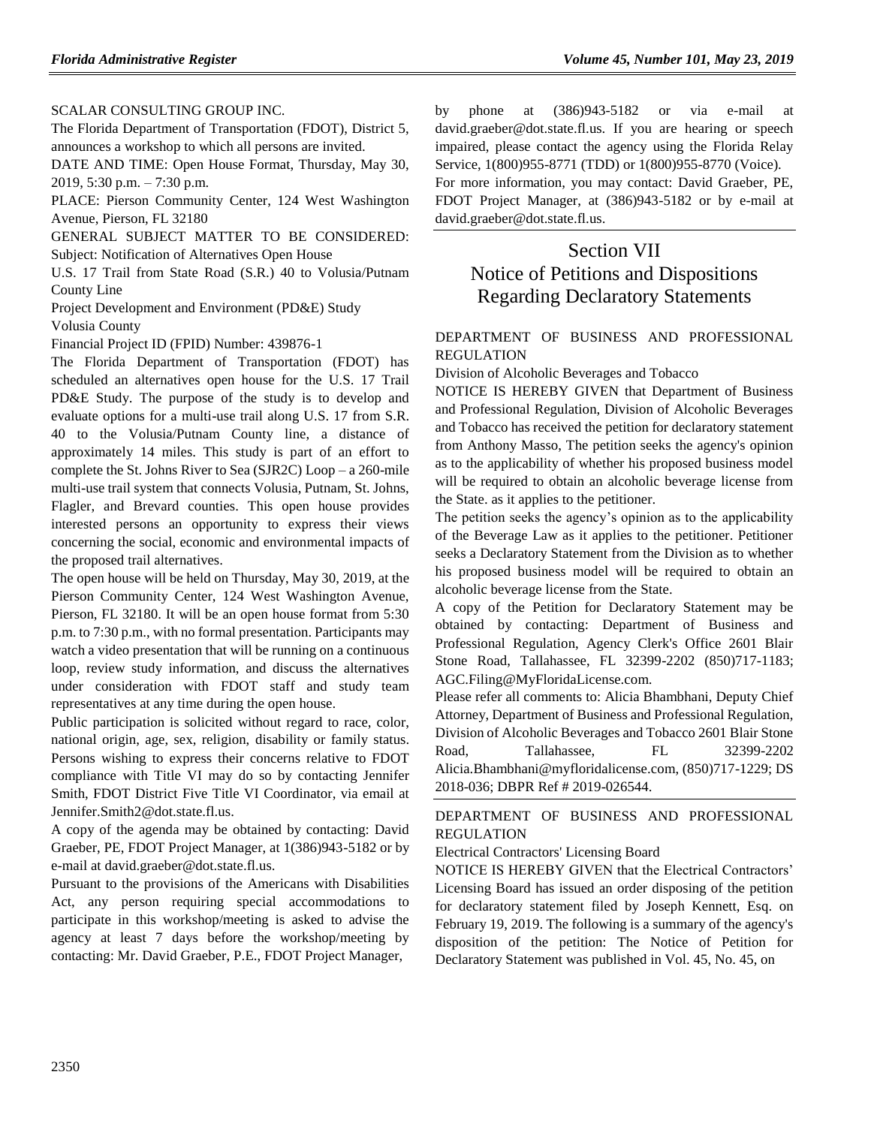#### [SCALAR CONSULTING GROUP INC.](https://www.flrules.org/gateway/organization.asp?id=1133)

The Florida Department of Transportation (FDOT), District 5, announces a workshop to which all persons are invited.

DATE AND TIME: Open House Format, Thursday, May 30, 2019, 5:30 p.m. – 7:30 p.m.

PLACE: Pierson Community Center, 124 West Washington Avenue, Pierson, FL 32180

GENERAL SUBJECT MATTER TO BE CONSIDERED: Subject: Notification of Alternatives Open House

U.S. 17 Trail from State Road (S.R.) 40 to Volusia/Putnam County Line

Project Development and Environment (PD&E) Study Volusia County

Financial Project ID (FPID) Number: 439876-1

The Florida Department of Transportation (FDOT) has scheduled an alternatives open house for the U.S. 17 Trail PD&E Study. The purpose of the study is to develop and evaluate options for a multi-use trail along U.S. 17 from S.R. 40 to the Volusia/Putnam County line, a distance of approximately 14 miles. This study is part of an effort to complete the St. Johns River to Sea (SJR2C) Loop – a 260-mile multi-use trail system that connects Volusia, Putnam, St. Johns, Flagler, and Brevard counties. This open house provides interested persons an opportunity to express their views concerning the social, economic and environmental impacts of the proposed trail alternatives.

The open house will be held on Thursday, May 30, 2019, at the Pierson Community Center, 124 West Washington Avenue, Pierson, FL 32180. It will be an open house format from 5:30 p.m. to 7:30 p.m., with no formal presentation. Participants may watch a video presentation that will be running on a continuous loop, review study information, and discuss the alternatives under consideration with FDOT staff and study team representatives at any time during the open house.

Public participation is solicited without regard to race, color, national origin, age, sex, religion, disability or family status. Persons wishing to express their concerns relative to FDOT compliance with Title VI may do so by contacting Jennifer Smith, FDOT District Five Title VI Coordinator, via email at Jennifer.Smith2@dot.state.fl.us.

A copy of the agenda may be obtained by contacting: David Graeber, PE, FDOT Project Manager, at 1(386)943-5182 or by e-mail at david.graeber@dot.state.fl.us.

Pursuant to the provisions of the Americans with Disabilities Act, any person requiring special accommodations to participate in this workshop/meeting is asked to advise the agency at least 7 days before the workshop/meeting by contacting: Mr. David Graeber, P.E., FDOT Project Manager,

by phone at (386)943-5182 or via e-mail at david.graeber@dot.state.fl.us. If you are hearing or speech impaired, please contact the agency using the Florida Relay Service, 1(800)955-8771 (TDD) or 1(800)955-8770 (Voice).

For more information, you may contact: David Graeber, PE, FDOT Project Manager, at (386)943-5182 or by e-mail at david.graeber@dot.state.fl.us.

## Section VII Notice of Petitions and Dispositions

# Regarding Declaratory Statements

#### [DEPARTMENT OF BUSINESS AND PROFESSIONAL](https://www.flrules.org/gateway/department.asp?id=61)  [REGULATION](https://www.flrules.org/gateway/department.asp?id=61)

[Division of Alcoholic Beverages and Tobacco](https://www.flrules.org/gateway/organization.asp?id=247)

NOTICE IS HEREBY GIVEN that Department of Business and Professional Regulation, Division of Alcoholic Beverages and Tobacco has received the petition for declaratory statement from Anthony Masso, The petition seeks the agency's opinion as to the applicability of whether his proposed business model will be required to obtain an alcoholic beverage license from the State. as it applies to the petitioner.

The petition seeks the agency's opinion as to the applicability of the Beverage Law as it applies to the petitioner. Petitioner seeks a Declaratory Statement from the Division as to whether his proposed business model will be required to obtain an alcoholic beverage license from the State.

A copy of the Petition for Declaratory Statement may be obtained by contacting: Department of Business and Professional Regulation, Agency Clerk's Office 2601 Blair Stone Road, Tallahassee, FL 32399-2202 (850)717-1183; AGC.Filing@MyFloridaLicense.com.

Please refer all comments to: Alicia Bhambhani, Deputy Chief Attorney, Department of Business and Professional Regulation, Division of Alcoholic Beverages and Tobacco 2601 Blair Stone Road, Tallahassee, FL 32399-2202 Alicia.Bhambhani@myfloridalicense.com, (850)717-1229; DS 2018-036; DBPR Ref # 2019-026544.

#### [DEPARTMENT OF BUSINESS AND PROFESSIONAL](https://www.flrules.org/gateway/department.asp?id=61)  [REGULATION](https://www.flrules.org/gateway/department.asp?id=61)

[Electrical Contractors' Licensing Board](https://www.flrules.org/gateway/organization.asp?id=276)

NOTICE IS HEREBY GIVEN that the Electrical Contractors' Licensing Board has issued an order disposing of the petition for declaratory statement filed by Joseph Kennett, Esq. on February 19, 2019. The following is a summary of the agency's disposition of the petition: The Notice of Petition for Declaratory Statement was published in Vol. 45, No. 45, on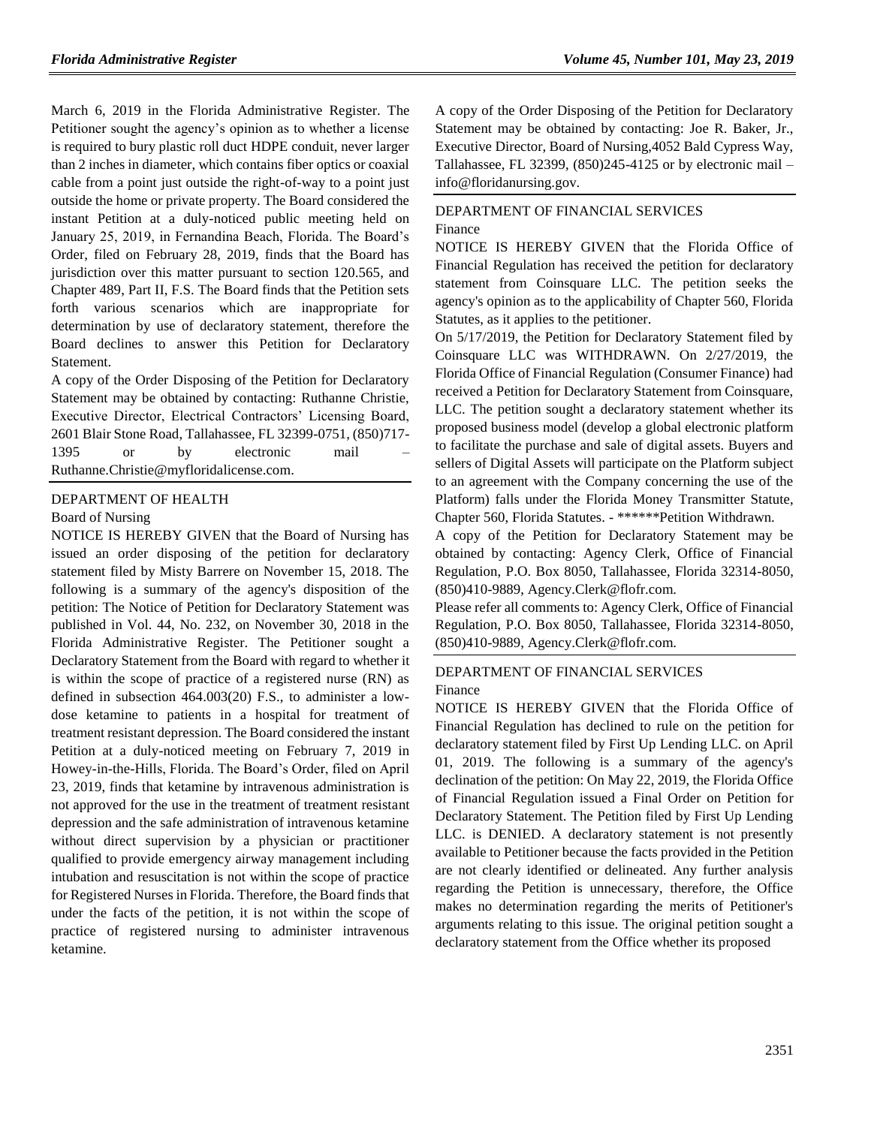March 6, 2019 in the Florida Administrative Register. The Petitioner sought the agency's opinion as to whether a license is required to bury plastic roll duct HDPE conduit, never larger than 2 inches in diameter, which contains fiber optics or coaxial cable from a point just outside the right-of-way to a point just outside the home or private property. The Board considered the instant Petition at a duly-noticed public meeting held on January 25, 2019, in Fernandina Beach, Florida. The Board's Order, filed on February 28, 2019, finds that the Board has jurisdiction over this matter pursuant to section 120.565, and Chapter 489, Part II, F.S. The Board finds that the Petition sets forth various scenarios which are inappropriate for determination by use of declaratory statement, therefore the Board declines to answer this Petition for Declaratory Statement.

A copy of the Order Disposing of the Petition for Declaratory Statement may be obtained by contacting: Ruthanne Christie, Executive Director, Electrical Contractors' Licensing Board, 2601 Blair Stone Road, Tallahassee, FL 32399-0751, (850)717- 1395 or by electronic mail Ruthanne.Christie@myfloridalicense.com.

#### [DEPARTMENT OF HEALTH](https://www.flrules.org/gateway/department.asp?id=64)

#### [Board of Nursing](https://www.flrules.org/gateway/organization.asp?id=332)

NOTICE IS HEREBY GIVEN that the Board of Nursing has issued an order disposing of the petition for declaratory statement filed by Misty Barrere on November 15, 2018. The following is a summary of the agency's disposition of the petition: The Notice of Petition for Declaratory Statement was published in Vol. 44, No. 232, on November 30, 2018 in the Florida Administrative Register. The Petitioner sought a Declaratory Statement from the Board with regard to whether it is within the scope of practice of a registered nurse (RN) as defined in subsection 464.003(20) F.S., to administer a lowdose ketamine to patients in a hospital for treatment of treatment resistant depression. The Board considered the instant Petition at a duly-noticed meeting on February 7, 2019 in Howey-in-the-Hills, Florida. The Board's Order, filed on April 23, 2019, finds that ketamine by intravenous administration is not approved for the use in the treatment of treatment resistant depression and the safe administration of intravenous ketamine without direct supervision by a physician or practitioner qualified to provide emergency airway management including intubation and resuscitation is not within the scope of practice for Registered Nurses in Florida. Therefore, the Board finds that under the facts of the petition, it is not within the scope of practice of registered nursing to administer intravenous ketamine.

A copy of the Order Disposing of the Petition for Declaratory Statement may be obtained by contacting: Joe R. Baker, Jr., Executive Director, Board of Nursing,4052 Bald Cypress Way, Tallahassee, FL 32399, (850)245-4125 or by electronic mail – info@floridanursing.gov.

#### [DEPARTMENT OF FINANCIAL SERVICES](https://www.flrules.org/gateway/department.asp?id=69) [Finance](https://www.flrules.org/gateway/organization.asp?id=524)

NOTICE IS HEREBY GIVEN that the Florida Office of Financial Regulation has received the petition for declaratory statement from Coinsquare LLC. The petition seeks the agency's opinion as to the applicability of Chapter 560, Florida Statutes, as it applies to the petitioner.

On 5/17/2019, the Petition for Declaratory Statement filed by Coinsquare LLC was WITHDRAWN. On 2/27/2019, the Florida Office of Financial Regulation (Consumer Finance) had received a Petition for Declaratory Statement from Coinsquare, LLC. The petition sought a declaratory statement whether its proposed business model (develop a global electronic platform to facilitate the purchase and sale of digital assets. Buyers and sellers of Digital Assets will participate on the Platform subject to an agreement with the Company concerning the use of the Platform) falls under the Florida Money Transmitter Statute, Chapter 560, Florida Statutes. - \*\*\*\*\*\*Petition Withdrawn.

A copy of the Petition for Declaratory Statement may be obtained by contacting: Agency Clerk, Office of Financial Regulation, P.O. Box 8050, Tallahassee, Florida 32314-8050, (850)410-9889, Agency.Clerk@flofr.com.

Please refer all comments to: Agency Clerk, Office of Financial Regulation, P.O. Box 8050, Tallahassee, Florida 32314-8050, (850)410-9889, Agency.Clerk@flofr.com.

#### [DEPARTMENT OF FINANCIAL SERVICES](https://www.flrules.org/gateway/department.asp?id=69) [Finance](https://www.flrules.org/gateway/organization.asp?id=524)

NOTICE IS HEREBY GIVEN that the Florida Office of Financial Regulation has declined to rule on the petition for declaratory statement filed by First Up Lending LLC. on April 01, 2019. The following is a summary of the agency's declination of the petition: On May 22, 2019, the Florida Office of Financial Regulation issued a Final Order on Petition for Declaratory Statement. The Petition filed by First Up Lending LLC. is DENIED. A declaratory statement is not presently available to Petitioner because the facts provided in the Petition are not clearly identified or delineated. Any further analysis regarding the Petition is unnecessary, therefore, the Office makes no determination regarding the merits of Petitioner's arguments relating to this issue. The original petition sought a declaratory statement from the Office whether its proposed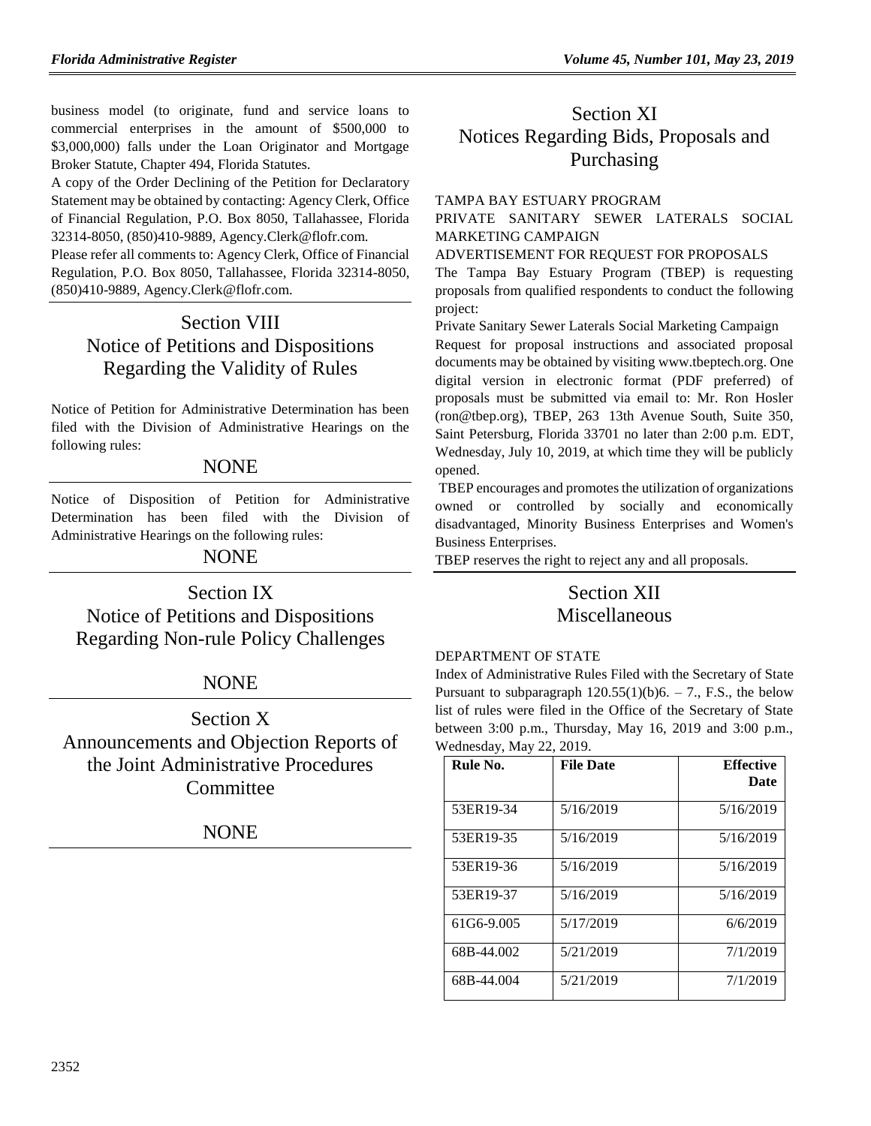business model (to originate, fund and service loans to commercial enterprises in the amount of \$500,000 to \$3,000,000) falls under the Loan Originator and Mortgage Broker Statute, Chapter 494, Florida Statutes.

A copy of the Order Declining of the Petition for Declaratory Statement may be obtained by contacting: Agency Clerk, Office of Financial Regulation, P.O. Box 8050, Tallahassee, Florida 32314-8050, (850)410-9889, Agency.Clerk@flofr.com.

Please refer all comments to: Agency Clerk, Office of Financial Regulation, P.O. Box 8050, Tallahassee, Florida 32314-8050, (850)410-9889, Agency.Clerk@flofr.com.

# Section VIII Notice of Petitions and Dispositions Regarding the Validity of Rules

Notice of Petition for Administrative Determination has been filed with the Division of Administrative Hearings on the following rules:

## **NONE**

Notice of Disposition of Petition for Administrative Determination has been filed with the Division of Administrative Hearings on the following rules:

NONE

Section IX Notice of Petitions and Dispositions Regarding Non-rule Policy Challenges

## NONE

Section X Announcements and Objection Reports of the Joint Administrative Procedures **Committee** 

## NONE

# Section XI Notices Regarding Bids, Proposals and Purchasing

#### [TAMPA BAY ESTUARY PROGRAM](https://www.flrules.org/gateway/organization.asp?id=676)

PRIVATE SANITARY SEWER LATERALS SOCIAL MARKETING CAMPAIGN

ADVERTISEMENT FOR REQUEST FOR PROPOSALS

The Tampa Bay Estuary Program (TBEP) is requesting proposals from qualified respondents to conduct the following project:

Private Sanitary Sewer Laterals Social Marketing Campaign

Request for proposal instructions and associated proposal documents may be obtained by visiting [www.tbeptech.org.](http://www.tbeptech.org/) One digital version in electronic format (PDF preferred) of proposals must be submitted via email to: Mr. Ron Hosler [\(ron@tbep.org\)](mailto:ron@tbep.org), TBEP, 263 13th Avenue South, Suite 350, Saint Petersburg, Florida 33701 no later than 2:00 p.m. EDT, Wednesday, July 10, 2019, at which time they will be publicly opened.

TBEP encourages and promotes the utilization of organizations owned or controlled by socially and economically disadvantaged, Minority Business Enterprises and Women's Business Enterprises.

TBEP reserves the right to reject any and all proposals.

## Section XII Miscellaneous

#### [DEPARTMENT OF STATE](https://www.flrules.org/gateway/department.asp?id=1)

Index of Administrative Rules Filed with the Secretary of State Pursuant to subparagraph  $120.55(1)(b)6. - 7$ ., F.S., the below list of rules were filed in the Office of the Secretary of State between 3:00 p.m., Thursday, May 16, 2019 and 3:00 p.m., Wednesday, May 22, 2019.

| Rule No.   | <b>File Date</b> | <b>Effective</b><br>Date |
|------------|------------------|--------------------------|
| 53ER19-34  | 5/16/2019        | 5/16/2019                |
| 53ER19-35  | 5/16/2019        | 5/16/2019                |
| 53ER19-36  | 5/16/2019        | 5/16/2019                |
| 53ER19-37  | 5/16/2019        | 5/16/2019                |
| 61G6-9.005 | 5/17/2019        | 6/6/2019                 |
| 68B-44.002 | 5/21/2019        | 7/1/2019                 |
| 68B-44.004 | 5/21/2019        | 7/1/2019                 |